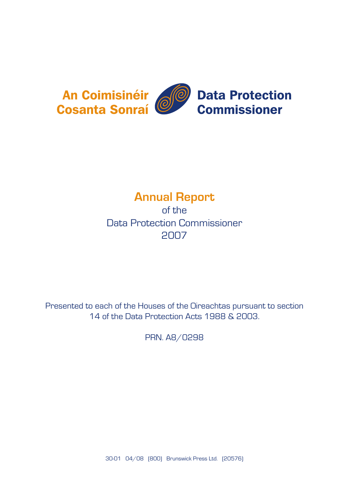

# **Annual Report**

of the Data Protection Commissioner 2007

Presented to each of the Houses of the Oireachtas pursuant to section 14 of the Data Protection Acts 1988 & 2003.

PRN. A8/0298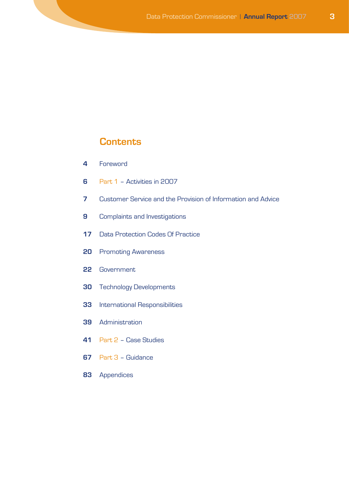## **Contents**

- Foreword
- Part 1 Activities in 2007
- Customer Service and the Provision of Information and Advice
- Complaints and Investigations
- Data Protection Codes Of Practice
- Promoting Awareness
- Government
- Technology Developments
- International Responsibilities
- Administration
- Part 2 Case Studies
- Part 3 Guidance
- Appendices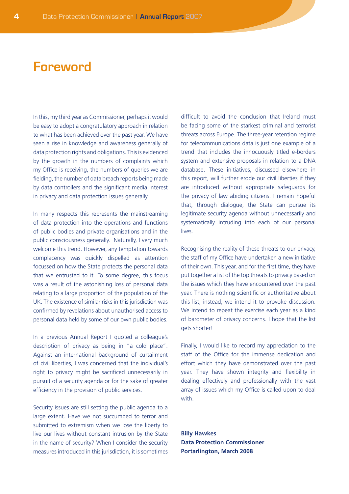# **Foreword**

In this, my third year as Commissioner, perhaps it would be easy to adopt a congratulatory approach in relation to what has been achieved over the past year. We have seen a rise in knowledge and awareness generally of data protection rights and obligations. This is evidenced by the growth in the numbers of complaints which my Office is receiving, the numbers of queries we are fielding, the number of data breach reports being made by data controllers and the significant media interest in privacy and data protection issues generally.

In many respects this represents the mainstreaming of data protection into the operations and functions of public bodies and private organisations and in the public consciousness generally. Naturally, I very much welcome this trend. However, any temptation towards complacency was quickly dispelled as attention focussed on how the State protects the personal data that we entrusted to it. To some degree, this focus was a result of the astonishing loss of personal data relating to a large proportion of the population of the UK. The existence of similar risks in this jurisdiction was confirmed by revelations about unauthorised access to personal data held by some of our own public bodies.

In a previous Annual Report I quoted a colleague's description of privacy as being in "a cold place". Against an international background of curtailment of civil liberties, I was concerned that the individual's right to privacy might be sacrificed unnecessarily in pursuit of a security agenda or for the sake of greater efficiency in the provision of public services.

Security issues are still setting the public agenda to a large extent. Have we not succumbed to terror and submitted to extremism when we lose the liberty to live our lives without constant intrusion by the State in the name of security? When I consider the security measures introduced in this jurisdiction, it is sometimes difficult to avoid the conclusion that Ireland must be facing some of the starkest criminal and terrorist threats across Europe. The three-year retention regime for telecommunications data is just one example of a trend that includes the innocuously titled e-borders system and extensive proposals in relation to a DNA database. These initiatives, discussed elsewhere in this report, will further erode our civil liberties if they are introduced without appropriate safeguards for the privacy of law abiding citizens. I remain hopeful that, through dialogue, the State can pursue its legitimate security agenda without unnecessarily and systematically intruding into each of our personal lives.

Recognising the reality of these threats to our privacy, the staff of my Office have undertaken a new initiative of their own. This year, and for the first time, they have put together a list of the top threats to privacy based on the issues which they have encountered over the past year. There is nothing scientific or authoritative about this list; instead, we intend it to provoke discussion. We intend to repeat the exercise each year as a kind of barometer of privacy concerns. I hope that the list gets shorter!

Finally, I would like to record my appreciation to the staff of the Office for the immense dedication and effort which they have demonstrated over the past year. They have shown integrity and flexibility in dealing effectively and professionally with the vast array of issues which my Office is called upon to deal with.

**Billy Hawkes Data Protection Commissioner Portarlington, March 2008**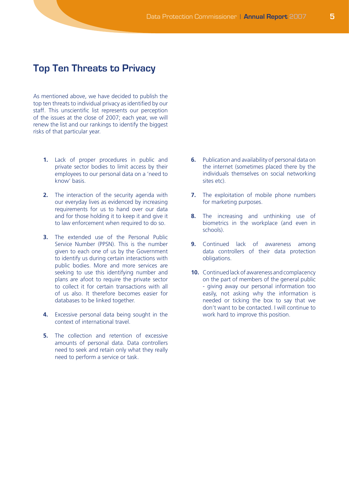## **Top Ten Threats to Privacy**

As mentioned above, we have decided to publish the top ten threats to individual privacy as identified by our staff. This unscientific list represents our perception of the issues at the close of 2007; each year, we will renew the list and our rankings to identify the biggest risks of that particular year.

- **1.** Lack of proper procedures in public and private sector bodies to limit access by their employees to our personal data on a 'need to know' basis.
- **2.** The interaction of the security agenda with our everyday lives as evidenced by increasing requirements for us to hand over our data and for those holding it to keep it and give it to law enforcement when required to do so.
- **3.** The extended use of the Personal Public Service Number (PPSN). This is the number given to each one of us by the Government to identify us during certain interactions with public bodies. More and more services are seeking to use this identifying number and plans are afoot to require the private sector to collect it for certain transactions with all of us also. It therefore becomes easier for databases to be linked together.
- **4.** Excessive personal data being sought in the context of international travel.
- **5.** The collection and retention of excessive amounts of personal data. Data controllers need to seek and retain only what they really need to perform a service or task.
- **6.** Publication and availability of personal data on the internet (sometimes placed there by the individuals themselves on social networking sites etc).
- **7.** The exploitation of mobile phone numbers for marketing purposes.
- **8.** The increasing and unthinking use of biometrics in the workplace (and even in schools).
- **9.** Continued lack of awareness among data controllers of their data protection obligations.
- **10.** Continued lack of awareness and complacency on the part of members of the general public - giving away our personal information too easily, not asking why the information is needed or ticking the box to say that we don't want to be contacted. I will continue to work hard to improve this position.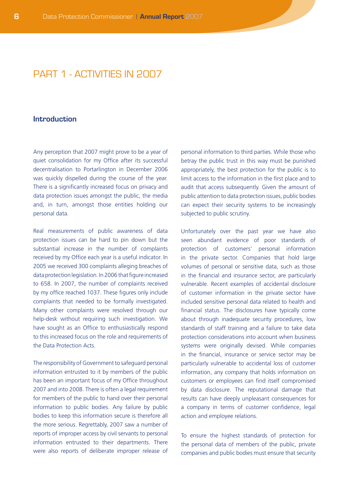## PART 1 - ACTIVITIES IN 2007

#### **Introduction**

Any perception that 2007 might prove to be a year of quiet consolidation for my Office after its successful decentralisation to Portarlington in December 2006 was quickly dispelled during the course of the year. There is a significantly increased focus on privacy and data protection issues amongst the public, the media and, in turn, amongst those entities holding our personal data.

Real measurements of public awareness of data protection issues can be hard to pin down but the substantial increase in the number of complaints received by my Office each year is a useful indicator. In 2005 we received 300 complaints alleging breaches of data protection legislation. In 2006 that figure increased to 658. In 2007, the number of complaints received by my office reached 1037. These figures only include complaints that needed to be formally investigated. Many other complaints were resolved through our help-desk without requiring such investigation. We have sought as an Office to enthusiastically respond to this increased focus on the role and requirements of the Data Protection Acts.

The responsibility of Government to safeguard personal information entrusted to it by members of the public has been an important focus of my Office throughout 2007 and into 2008. There is often a legal requirement for members of the public to hand over their personal information to public bodies. Any failure by public bodies to keep this information secure is therefore all the more serious. Regrettably, 2007 saw a number of reports of improper access by civil servants to personal information entrusted to their departments. There were also reports of deliberate improper release of

personal information to third parties. While those who betray the public trust in this way must be punished appropriately, the best protection for the public is to limit access to the information in the first place and to audit that access subsequently. Given the amount of public attention to data protection issues, public bodies can expect their security systems to be increasingly subjected to public scrutiny.

Unfortunately over the past year we have also seen abundant evidence of poor standards of protection of customers' personal information in the private sector. Companies that hold large volumes of personal or sensitive data, such as those in the financial and insurance sector, are particularly vulnerable. Recent examples of accidental disclosure of customer information in the private sector have included sensitive personal data related to health and financial status. The disclosures have typically come about through inadequate security procedures, low standards of staff training and a failure to take data protection considerations into account when business systems were originally devised. While companies in the financial, insurance or service sector may be particularly vulnerable to accidental loss of customer information, any company that holds information on customers or employees can find itself compromised by data disclosure. The reputational damage that results can have deeply unpleasant consequences for a company in terms of customer confidence, legal action and employee relations.

To ensure the highest standards of protection for the personal data of members of the public, private companies and public bodies must ensure that security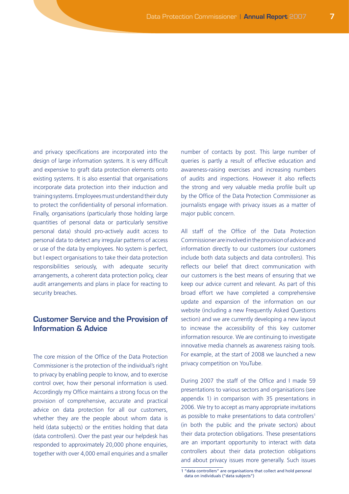and privacy specifications are incorporated into the design of large information systems. It is very difficult and expensive to graft data protection elements onto existing systems. It is also essential that organisations incorporate data protection into their induction and training systems. Employees must understand their duty to protect the confidentiality of personal information. Finally, organisations (particularly those holding large quantities of personal data or particularly sensitive personal data) should pro-actively audit access to personal data to detect any irregular patterns of access or use of the data by employees. No system is perfect, but I expect organisations to take their data protection responsibilities seriously, with adequate security arrangements, a coherent data protection policy, clear audit arrangements and plans in place for reacting to security breaches.

## **Customer Service and the Provision of Information & Advice**

The core mission of the Office of the Data Protection Commissioner is the protection of the individual's right to privacy by enabling people to know, and to exercise control over, how their personal information is used. Accordingly my Office maintains a strong focus on the provision of comprehensive, accurate and practical advice on data protection for all our customers, whether they are the people about whom data is held (data subjects) or the entities holding that data (data controllers). Over the past year our helpdesk has responded to approximately 20,000 phone enquiries, together with over 4,000 email enquiries and a smaller number of contacts by post. This large number of queries is partly a result of effective education and awareness-raising exercises and increasing numbers of audits and inspections. However it also reflects the strong and very valuable media profile built up by the Office of the Data Protection Commissioner as journalists engage with privacy issues as a matter of major public concern.

All staff of the Office of the Data Protection Commissioner are involved in the provision of advice and information directly to our customers (our customers include both data subjects and data controllers). This reflects our belief that direct communication with our customers is the best means of ensuring that we keep our advice current and relevant. As part of this broad effort we have completed a comprehensive update and expansion of the information on our website (including a new Frequently Asked Questions section) and we are currently developing a new layout to increase the accessibility of this key customer information resource. We are continuing to investigate innovative media channels as awareness raising tools. For example, at the start of 2008 we launched a new privacy competition on YouTube.

During 2007 the staff of the Office and I made 59 presentations to various sectors and organisations (see appendix 1) in comparison with 35 presentations in 2006. We try to accept as many appropriate invitations as possible to make presentations to data controllers<sup>1</sup> (in both the public and the private sectors) about their data protection obligations. These presentations are an important opportunity to interact with data controllers about their data protection obligations and about privacy issues more generally. Such issues

<sup>1 &</sup>quot;data controllers" are organisations that collect and hold personal data on individuals ("data subjects")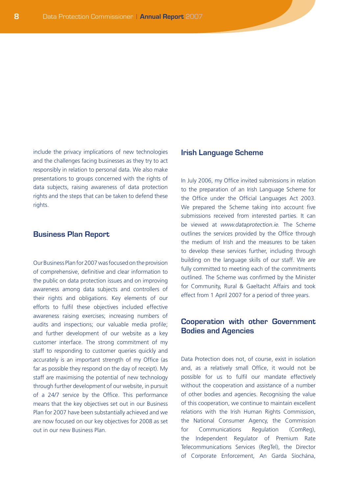include the privacy implications of new technologies and the challenges facing businesses as they try to act responsibly in relation to personal data. We also make presentations to groups concerned with the rights of data subjects, raising awareness of data protection rights and the steps that can be taken to defend these rights.

#### **Business Plan Report**

Our Business Plan for 2007 was focused on the provision of comprehensive, definitive and clear information to the public on data protection issues and on improving awareness among data subjects and controllers of their rights and obligations. Key elements of our efforts to fulfil these objectives included effective awareness raising exercises; increasing numbers of audits and inspections; our valuable media profile; and further development of our website as a key customer interface. The strong commitment of my staff to responding to customer queries quickly and accurately is an important strength of my Office (as far as possible they respond on the day of receipt). My staff are maximising the potential of new technology through further development of our website, in pursuit of a 24/7 service by the Office. This performance means that the key objectives set out in our Business Plan for 2007 have been substantially achieved and we are now focused on our key objectives for 2008 as set out in our new Business Plan.

#### **Irish Language Scheme**

In July 2006, my Office invited submissions in relation to the preparation of an Irish Language Scheme for the Office under the Official Languages Act 2003. We prepared the Scheme taking into account five submissions received from interested parties. It can be viewed at *www.dataprotection.ie.* The Scheme outlines the services provided by the Office through the medium of Irish and the measures to be taken to develop these services further, including through building on the language skills of our staff. We are fully committed to meeting each of the commitments outlined. The Scheme was confirmed by the Minister for Community, Rural & Gaeltacht Affairs and took effect from 1 April 2007 for a period of three years.

### **Cooperation with other Government Bodies and Agencies**

Data Protection does not, of course, exist in isolation and, as a relatively small Office, it would not be possible for us to fulfil our mandate effectively without the cooperation and assistance of a number of other bodies and agencies. Recognising the value of this cooperation, we continue to maintain excellent relations with the Irish Human Rights Commission, the National Consumer Agency, the Commission for Communications Regulation (ComReg), the Independent Regulator of Premium Rate Telecommunications Services (RegTel), the Director of Corporate Enforcement, An Garda Síochána,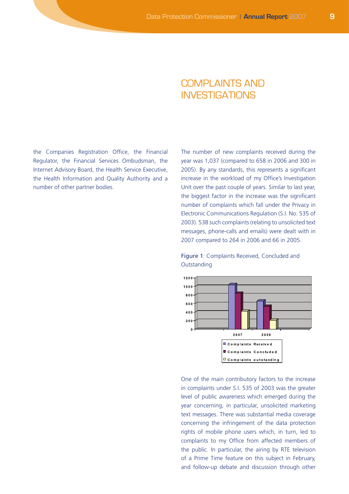## COMPLAINTS AND INVESTIGATIONS

the Companies Registration Office, the Financial Regulator, the Financial Services Ombudsman, the Internet Advisory Board, the Health Service Executive, the Health Information and Quality Authority and a number of other partner bodies.

The number of new complaints received during the year was 1,037 (compared to 658 in 2006 and 300 in 2005). By any standards, this represents a significant increase in the workload of my Office's Investigation Unit over the past couple of years. Similar to last year, the biggest factor in the increase was the significant number of complaints which fall under the Privacy in Electronic Communications Regulation (S.I. No. 535 of 2003). 538 such complaints (relating to unsolicited text messages, phone-calls and emails) were dealt with in 2007 compared to 264 in 2006 and 66 in 2005.

#### Figure 1: Complaints Received, Concluded and **Outstanding**



One of the main contributory factors to the increase in complaints under S.I. 535 of 2003 was the greater level of public awareness which emerged during the year concerning, in particular, unsolicited marketing text messages. There was substantial media coverage concerning the infringement of the data protection rights of mobile phone users which, in turn, led to complaints to my Office from affected members of the public. In particular, the airing by RTE television of a Prime Time feature on this subject in February, and follow-up debate and discussion through other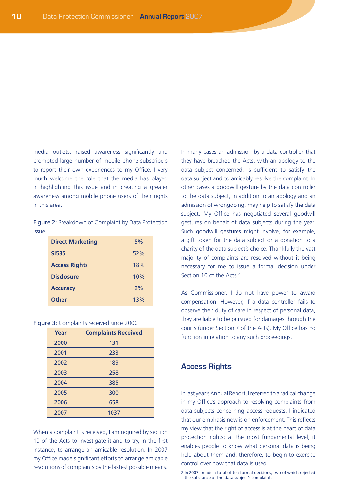media outlets, raised awareness significantly and prompted large number of mobile phone subscribers to report their own experiences to my Office. I very much welcome the role that the media has played in highlighting this issue and in creating a greater awareness among mobile phone users of their rights in this area.

Figure 2: Breakdown of Complaint by Data Protection issue

| <b>Direct Marketing</b> | 5%  |
|-------------------------|-----|
| <b>SI535</b>            | 52% |
| <b>Access Rights</b>    | 18% |
| <b>Disclosure</b>       | 10% |
| <b>Accuracy</b>         | 2%  |
| Other                   | 13% |

|  | Figure 3: Complaints received since 2000 |  |
|--|------------------------------------------|--|
|  |                                          |  |

| Year | <b>Complaints Received</b> |
|------|----------------------------|
| 2000 | 131                        |
| 2001 | 233                        |
| 2002 | 189                        |
| 2003 | 258                        |
| 2004 | 385                        |
| 2005 | 300                        |
| 2006 | 658                        |
| 2007 | 1037                       |

When a complaint is received, I am required by section 10 of the Acts to investigate it and to try, in the first instance, to arrange an amicable resolution. In 2007 my Office made significant efforts to arrange amicable resolutions of complaints by the fastest possible means.

In many cases an admission by a data controller that they have breached the Acts, with an apology to the data subject concerned, is sufficient to satisfy the data subject and to amicably resolve the complaint. In other cases a goodwill gesture by the data controller to the data subject, in addition to an apology and an admission of wrongdoing, may help to satisfy the data subject. My Office has negotiated several goodwill gestures on behalf of data subjects during the year. Such goodwill gestures might involve, for example, a gift token for the data subject or a donation to a charity of the data subject's choice. Thankfully the vast majority of complaints are resolved without it being necessary for me to issue a formal decision under Section 10 of the Acts<sup>2</sup>

As Commissioner, I do not have power to award compensation. However, if a data controller fails to observe their duty of care in respect of personal data, they are liable to be pursued for damages through the courts (under Section 7 of the Acts). My Office has no function in relation to any such proceedings.

#### **Access Rights**

In last year's Annual Report, I referred to a radical change in my Office's approach to resolving complaints from data subjects concerning access requests. I indicated that our emphasis now is on enforcement. This reflects my view that the right of access is at the heart of data protection rights; at the most fundamental level, it enables people to know what personal data is being held about them and, therefore, to begin to exercise control over how that data is used.

<sup>2</sup> In 2007 I made a total of ten formal decisions, two of which rejected the substance of the data subject's complaint.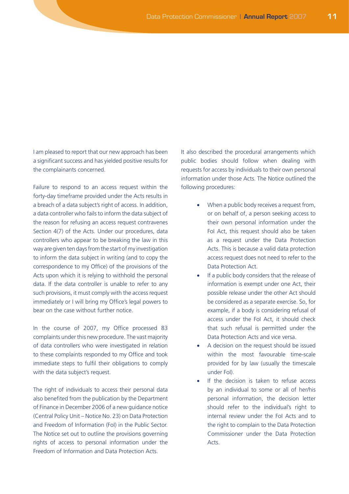I am pleased to report that our new approach has been a significant success and has yielded positive results for the complainants concerned.

Failure to respond to an access request within the forty-day timeframe provided under the Acts results in a breach of a data subject's right of access. In addition, a data controller who fails to inform the data subject of the reason for refusing an access request contravenes Section 4(7) of the Acts. Under our procedures, data controllers who appear to be breaking the law in this way are given ten days from the start of my investigation to inform the data subject in writing (and to copy the correspondence to my Office) of the provisions of the Acts upon which it is relying to withhold the personal data. If the data controller is unable to refer to any such provisions, it must comply with the access request immediately or I will bring my Office's legal powers to bear on the case without further notice.

In the course of 2007, my Office processed 83 complaints under this new procedure. The vast majority of data controllers who were investigated in relation to these complaints responded to my Office and took immediate steps to fulfil their obligations to comply with the data subject's request.

The right of individuals to access their personal data also benefited from the publication by the Department of Finance in December 2006 of a new guidance notice (Central Policy Unit – Notice No. 23) on Data Protection and Freedom of Information (FoI) in the Public Sector. The Notice set out to outline the provisions governing rights of access to personal information under the Freedom of Information and Data Protection Acts.

It also described the procedural arrangements which public bodies should follow when dealing with requests for access by individuals to their own personal information under those Acts. The Notice outlined the following procedures:

- When a public body receives a request from, or on behalf of, a person seeking access to their own personal information under the FoI Act, this request should also be taken as a request under the Data Protection Acts. This is because a valid data protection access request does not need to refer to the Data Protection Act.
- If a public body considers that the release of information is exempt under one Act, their possible release under the other Act should be considered as a separate exercise. So, for example, if a body is considering refusal of access under the FoI Act, it should check that such refusal is permitted under the Data Protection Acts and vice versa.
- A decision on the request should be issued within the most favourable time-scale provided for by law (usually the timescale under FoI).
- If the decision is taken to refuse access by an individual to some or all of her/his personal information, the decision letter should refer to the individual's right to internal review under the FoI Acts and to the right to complain to the Data Protection Commissioner under the Data Protection Acts.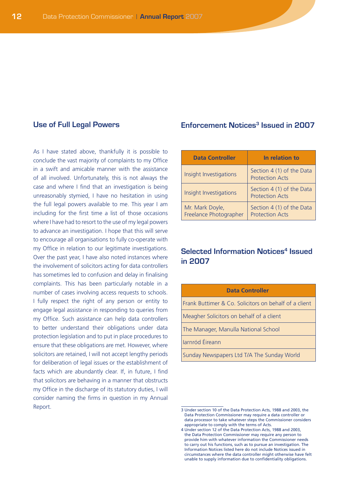#### **Use of Full Legal Powers**

As I have stated above, thankfully it is possible to conclude the vast majority of complaints to my Office in a swift and amicable manner with the assistance of all involved. Unfortunately, this is not always the case and where I find that an investigation is being unreasonably stymied, I have no hesitation in using the full legal powers available to me. This year I am including for the first time a list of those occasions where I have had to resort to the use of my legal powers to advance an investigation. I hope that this will serve to encourage all organisations to fully co-operate with my Office in relation to our legitimate investigations. Over the past year, I have also noted instances where the involvement of solicitors acting for data controllers has sometimes led to confusion and delay in finalising complaints. This has been particularly notable in a number of cases involving access requests to schools. I fully respect the right of any person or entity to engage legal assistance in responding to queries from my Office. Such assistance can help data controllers to better understand their obligations under data protection legislation and to put in place procedures to ensure that these obligations are met. However, where solicitors are retained, I will not accept lengthy periods for deliberation of legal issues or the establishment of facts which are abundantly clear. If, in future, I find that solicitors are behaving in a manner that obstructs my Office in the discharge of its statutory duties, I will consider naming the firms in question in my Annual Report.

#### **Enforcement Notices<sup>3</sup> Issued in 2007**

| <b>Data Controller</b>                    | In relation to                                      |
|-------------------------------------------|-----------------------------------------------------|
| Insight Investigations                    | Section 4 (1) of the Data<br><b>Protection Acts</b> |
| Insight Investigations                    | Section 4 (1) of the Data<br><b>Protection Acts</b> |
| Mr. Mark Doyle,<br>Freelance Photographer | Section 4 (1) of the Data<br><b>Protection Acts</b> |

## **Selected Information Notices<sup>4</sup> Issued in 2007**

| <b>Data Controller</b>                                |  |  |
|-------------------------------------------------------|--|--|
| Frank Buttimer & Co. Solicitors on behalf of a client |  |  |
| Meagher Solicitors on behalf of a client              |  |  |
| The Manager, Manulla National School                  |  |  |
| Jarnród Éireann                                       |  |  |
| Sunday Newspapers Ltd T/A The Sunday World            |  |  |
|                                                       |  |  |

<sup>3</sup> Under section 10 of the Data Protection Acts, 1988 and 2003, the Data Protection Commissioner may require a data controller or data processor to take whatever steps the Commissioner considers appropriate to comply with the terms of Acts.

<sup>4</sup> Under section 12 of the Data Protection Acts, 1988 and 2003, the Data Protection Commissioner may require any person to provide him with whatever information the Commissioner needs to carry out his functions, such as to pursue an investigation. The Information Notices listed here do not include Notices issued in circumstances where the data controller might otherwise have felt unable to supply information due to confidentiality obligations.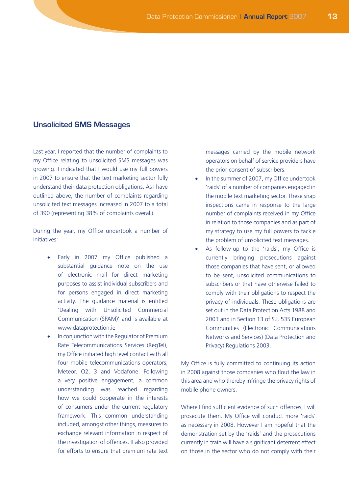#### **Unsolicited SMS Messages**

Last year, I reported that the number of complaints to my Office relating to unsolicited SMS messages was growing. I indicated that I would use my full powers in 2007 to ensure that the text marketing sector fully understand their data protection obligations. As I have outlined above, the number of complaints regarding unsolicited text messages increased in 2007 to a total of 390 (representing 38% of complaints overall).

During the year, my Office undertook a number of initiatives:

- Early in 2007 my Office published a substantial guidance note on the use of electronic mail for direct marketing purposes to assist individual subscribers and for persons engaged in direct marketing activity. The guidance material is entitled 'Dealing with Unsolicited Commercial Communication (SPAM)' and is available at www.dataprotection.ie
- In conjunction with the Regulator of Premium Rate Telecommunications Services (RegTel), my Office initiated high level contact with all four mobile telecommunications operators, Meteor, O2, 3 and Vodafone. Following a very positive engagement, a common understanding was reached regarding how we could cooperate in the interests of consumers under the current regulatory framework. This common understanding included, amongst other things, measures to exchange relevant information in respect of the investigation of offences. It also provided for efforts to ensure that premium rate text

messages carried by the mobile network operators on behalf of service providers have the prior consent of subscribers.

- In the summer of 2007, my Office undertook 'raids' of a number of companies engaged in the mobile text marketing sector. These snap inspections came in response to the large number of complaints received in my Office in relation to those companies and as part of my strategy to use my full powers to tackle the problem of unsolicited text messages.
- As follow-up to the 'raids', my Office is currently bringing prosecutions against those companies that have sent, or allowed to be sent, unsolicited communications to subscribers or that have otherwise failed to comply with their obligations to respect the privacy of individuals. These obligations are set out in the Data Protection Acts 1988 and 2003 and in Section 13 of S.I. 535 European Communities (Electronic Communications Networks and Services) (Data Protection and Privacy) Regulations 2003.

My Office is fully committed to continuing its action in 2008 against those companies who flout the law in this area and who thereby infringe the privacy rights of mobile phone owners.

Where I find sufficient evidence of such offences, I will prosecute them. My Office will conduct more 'raids' as necessary in 2008. However I am hopeful that the demonstration set by the 'raids' and the prosecutions currently in train will have a significant deterrent effect on those in the sector who do not comply with their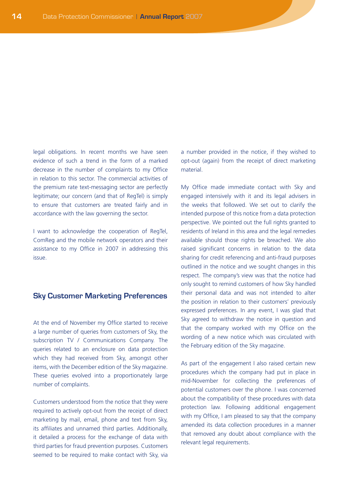legal obligations. In recent months we have seen evidence of such a trend in the form of a marked decrease in the number of complaints to my Office in relation to this sector. The commercial activities of the premium rate text-messaging sector are perfectly legitimate; our concern (and that of RegTel) is simply to ensure that customers are treated fairly and in accordance with the law governing the sector.

I want to acknowledge the cooperation of RegTel, ComReg and the mobile network operators and their assistance to my Office in 2007 in addressing this issue.

#### **Sky Customer Marketing Preferences**

At the end of November my Office started to receive a large number of queries from customers of Sky, the subscription TV / Communications Company. The queries related to an enclosure on data protection which they had received from Sky, amongst other items, with the December edition of the Sky magazine. These queries evolved into a proportionately large number of complaints.

Customers understood from the notice that they were required to actively opt-out from the receipt of direct marketing by mail, email, phone and text from Sky, its affiliates and unnamed third parties. Additionally, it detailed a process for the exchange of data with third parties for fraud prevention purposes. Customers seemed to be required to make contact with Sky, via a number provided in the notice, if they wished to opt-out (again) from the receipt of direct marketing material.

My Office made immediate contact with Sky and engaged intensively with it and its legal advisers in the weeks that followed. We set out to clarify the intended purpose of this notice from a data protection perspective. We pointed out the full rights granted to residents of Ireland in this area and the legal remedies available should those rights be breached. We also raised significant concerns in relation to the data sharing for credit referencing and anti-fraud purposes outlined in the notice and we sought changes in this respect. The company's view was that the notice had only sought to remind customers of how Sky handled their personal data and was not intended to alter the position in relation to their customers' previously expressed preferences. In any event, I was glad that Sky agreed to withdraw the notice in question and that the company worked with my Office on the wording of a new notice which was circulated with the February edition of the Sky magazine.

As part of the engagement I also raised certain new procedures which the company had put in place in mid-November for collecting the preferences of potential customers over the phone. I was concerned about the compatibility of these procedures with data protection law. Following additional engagement with my Office, I am pleased to say that the company amended its data collection procedures in a manner that removed any doubt about compliance with the relevant legal requirements.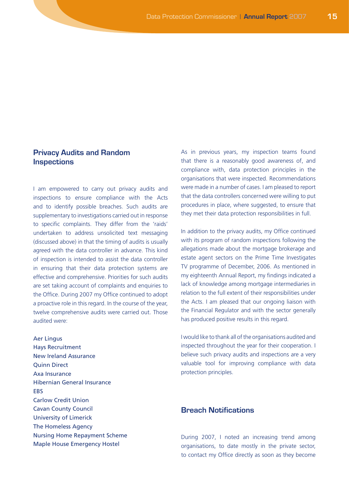#### **Privacy Audits and Random Inspections**

I am empowered to carry out privacy audits and inspections to ensure compliance with the Acts and to identify possible breaches. Such audits are supplementary to investigations carried out in response to specific complaints. They differ from the 'raids' undertaken to address unsolicited text messaging (discussed above) in that the timing of audits is usually agreed with the data controller in advance. This kind of inspection is intended to assist the data controller in ensuring that their data protection systems are effective and comprehensive. Priorities for such audits are set taking account of complaints and enquiries to the Office. During 2007 my Office continued to adopt a proactive role in this regard. In the course of the year, twelve comprehensive audits were carried out. Those audited were:

Aer Lingus Hays Recruitment New Ireland Assurance Quinn Direct Axa Insurance Hibernian General Insurance EBS Carlow Credit Union Cavan County Council University of Limerick The Homeless Agency Nursing Home Repayment Scheme Maple House Emergency Hostel

As in previous years, my inspection teams found that there is a reasonably good awareness of, and compliance with, data protection principles in the organisations that were inspected. Recommendations were made in a number of cases. I am pleased to report that the data controllers concerned were willing to put procedures in place, where suggested, to ensure that they met their data protection responsibilities in full.

In addition to the privacy audits, my Office continued with its program of random inspections following the allegations made about the mortgage brokerage and estate agent sectors on the Prime Time Investigates TV programme of December, 2006. As mentioned in my eighteenth Annual Report, my findings indicated a lack of knowledge among mortgage intermediaries in relation to the full extent of their responsibilities under the Acts. I am pleased that our ongoing liaison with the Financial Regulator and with the sector generally has produced positive results in this regard.

I would like to thank all of the organisations audited and inspected throughout the year for their cooperation. I believe such privacy audits and inspections are a very valuable tool for improving compliance with data protection principles.

## **Breach Notifications**

During 2007, I noted an increasing trend among organisations, to date mostly in the private sector, to contact my Office directly as soon as they become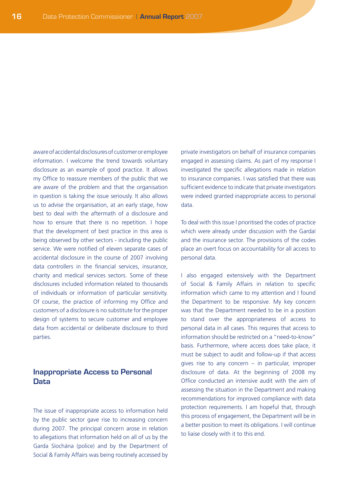aware of accidental disclosures of customer or employee information. I welcome the trend towards voluntary disclosure as an example of good practice. It allows my Office to reassure members of the public that we are aware of the problem and that the organisation in question is taking the issue seriously. It also allows us to advise the organisation, at an early stage, how best to deal with the aftermath of a disclosure and how to ensure that there is no repetition. I hope that the development of best practice in this area is being observed by other sectors - including the public service. We were notified of eleven separate cases of accidental disclosure in the course of 2007 involving data controllers in the financial services, insurance, charity and medical services sectors. Some of these disclosures included information related to thousands of individuals or information of particular sensitivity. Of course, the practice of informing my Office and customers of a disclosure is no substitute for the proper design of systems to secure customer and employee data from accidental or deliberate disclosure to third parties.

#### **Inappropriate Access to Personal Data**

The issue of inappropriate access to information held by the public sector gave rise to increasing concern during 2007. The principal concern arose in relation to allegations that information held on all of us by the Garda Síochána (police) and by the Department of Social & Family Affairs was being routinely accessed by private investigators on behalf of insurance companies engaged in assessing claims. As part of my response I investigated the specific allegations made in relation to insurance companies. I was satisfied that there was sufficient evidence to indicate that private investigators were indeed granted inappropriate access to personal data.

To deal with this issue I prioritised the codes of practice which were already under discussion with the Gardaí and the insurance sector. The provisions of the codes place an overt focus on accountability for all access to personal data.

I also engaged extensively with the Department of Social & Family Affairs in relation to specific information which came to my attention and I found the Department to be responsive. My key concern was that the Department needed to be in a position to stand over the appropriateness of access to personal data in all cases. This requires that access to information should be restricted on a "need-to-know" basis. Furthermore, where access does take place, it must be subject to audit and follow-up if that access gives rise to any concern – in particular, improper disclosure of data. At the beginning of 2008 my Office conducted an intensive audit with the aim of assessing the situation in the Department and making recommendations for improved compliance with data protection requirements. I am hopeful that, through this process of engagement, the Department will be in a better position to meet its obligations. I will continue to liaise closely with it to this end.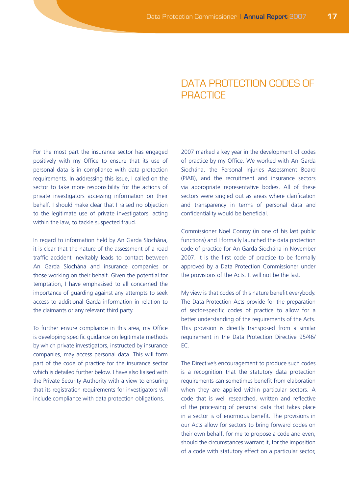## DATA PROTECTION CODES OF **PRACTICE**

For the most part the insurance sector has engaged positively with my Office to ensure that its use of personal data is in compliance with data protection requirements. In addressing this issue, I called on the sector to take more responsibility for the actions of private investigators accessing information on their behalf. I should make clear that I raised no objection to the legitimate use of private investigators, acting within the law, to tackle suspected fraud.

In regard to information held by An Garda Síochána, it is clear that the nature of the assessment of a road traffic accident inevitably leads to contact between An Garda Síochána and insurance companies or those working on their behalf. Given the potential for temptation, I have emphasised to all concerned the importance of guarding against any attempts to seek access to additional Garda information in relation to the claimants or any relevant third party.

To further ensure compliance in this area, my Office is developing specific guidance on legitimate methods by which private investigators, instructed by insurance companies, may access personal data. This will form part of the code of practice for the insurance sector which is detailed further below. I have also liaised with the Private Security Authority with a view to ensuring that its registration requirements for investigators will include compliance with data protection obligations.

2007 marked a key year in the development of codes of practice by my Office. We worked with An Garda Síochána, the Personal Injuries Assessment Board (PIAB), and the recruitment and insurance sectors via appropriate representative bodies. All of these sectors were singled out as areas where clarification and transparency in terms of personal data and confidentiality would be beneficial.

Commissioner Noel Conroy (in one of his last public functions) and I formally launched the data protection code of practice for An Garda Síochána in November 2007. It is the first code of practice to be formally approved by a Data Protection Commissioner under the provisions of the Acts. It will not be the last.

My view is that codes of this nature benefit everybody. The Data Protection Acts provide for the preparation of sector-specific codes of practice to allow for a better understanding of the requirements of the Acts. This provision is directly transposed from a similar requirement in the Data Protection Directive 95/46/ EC.

The Directive's encouragement to produce such codes is a recognition that the statutory data protection requirements can sometimes benefit from elaboration when they are applied within particular sectors. A code that is well researched, written and reflective of the processing of personal data that takes place in a sector is of enormous benefit. The provisions in our Acts allow for sectors to bring forward codes on their own behalf, for me to propose a code and even, should the circumstances warrant it, for the imposition of a code with statutory effect on a particular sector,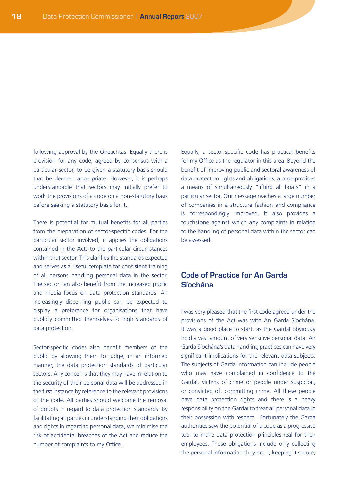following approval by the Oireachtas. Equally there is provision for any code, agreed by consensus with a particular sector, to be given a statutory basis should that be deemed appropriate. However, it is perhaps understandable that sectors may initially prefer to work the provisions of a code on a non-statutory basis before seeking a statutory basis for it.

There is potential for mutual benefits for all parties from the preparation of sector-specific codes. For the particular sector involved, it applies the obligations contained in the Acts to the particular circumstances within that sector. This clarifies the standards expected and serves as a useful template for consistent training of all persons handling personal data in the sector. The sector can also benefit from the increased public and media focus on data protection standards. An increasingly discerning public can be expected to display a preference for organisations that have publicly committed themselves to high standards of data protection.

Sector-specific codes also benefit members of the public by allowing them to judge, in an informed manner, the data protection standards of particular sectors. Any concerns that they may have in relation to the security of their personal data will be addressed in the first instance by reference to the relevant provisions of the code. All parties should welcome the removal of doubts in regard to data protection standards. By facilitating all parties in understanding their obligations and rights in regard to personal data, we minimise the risk of accidental breaches of the Act and reduce the number of complaints to my Office.

Equally, a sector-specific code has practical benefits for my Office as the regulator in this area. Beyond the benefit of improving public and sectoral awareness of data protection rights and obligations, a code provides a means of simultaneously "lifting all boats" in a particular sector. Our message reaches a large number of companies in a structure fashion and compliance is correspondingly improved. It also provides a touchstone against which any complaints in relation to the handling of personal data within the sector can be assessed.

## **Code of Practice for An Garda Síochána**

I was very pleased that the first code agreed under the provisions of the Act was with An Garda Síochána. It was a good place to start, as the Gardaí obviously hold a vast amount of very sensitive personal data. An Garda Síochána's data handling practices can have very significant implications for the relevant data subjects. The subjects of Garda information can include people who may have complained in confidence to the Gardaí, victims of crime or people under suspicion, or convicted of, committing crime. All these people have data protection rights and there is a heavy responsibility on the Gardaí to treat all personal data in their possession with respect. Fortunately the Garda authorities saw the potential of a code as a progressive tool to make data protection principles real for their employees. These obligations include only collecting the personal information they need; keeping it secure;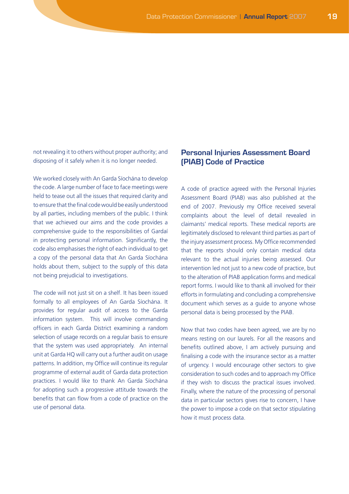not revealing it to others without proper authority; and disposing of it safely when it is no longer needed.

We worked closely with An Garda Síochána to develop the code. A large number of face to face meetings were held to tease out all the issues that required clarity and to ensure that the final code would be easily understood by all parties, including members of the public. I think that we achieved our aims and the code provides a comprehensive guide to the responsibilities of Gardaí in protecting personal information. Significantly, the code also emphasises the right of each individual to get a copy of the personal data that An Garda Síochána holds about them, subject to the supply of this data not being prejudicial to investigations.

The code will not just sit on a shelf. It has been issued formally to all employees of An Garda Síochána. It provides for regular audit of access to the Garda information system. This will involve commanding officers in each Garda District examining a random selection of usage records on a regular basis to ensure that the system was used appropriately. An internal unit at Garda HQ will carry out a further audit on usage patterns. In addition, my Office will continue its regular programme of external audit of Garda data protection practices. I would like to thank An Garda Síochána for adopting such a progressive attitude towards the benefits that can flow from a code of practice on the use of personal data.

## **Personal Injuries Assessment Board (PIAB) Code of Practice**

A code of practice agreed with the Personal Injuries Assessment Board (PIAB) was also published at the end of 2007. Previously my Office received several complaints about the level of detail revealed in claimants' medical reports. These medical reports are legitimately disclosed to relevant third parties as part of the injury assessment process. My Office recommended that the reports should only contain medical data relevant to the actual injuries being assessed. Our intervention led not just to a new code of practice, but to the alteration of PIAB application forms and medical report forms. I would like to thank all involved for their efforts in formulating and concluding a comprehensive document which serves as a guide to anyone whose personal data is being processed by the PIAB.

Now that two codes have been agreed, we are by no means resting on our laurels. For all the reasons and benefits outlined above, I am actively pursuing and finalising a code with the insurance sector as a matter of urgency. I would encourage other sectors to give consideration to such codes and to approach my Office if they wish to discuss the practical issues involved. Finally, where the nature of the processing of personal data in particular sectors gives rise to concern, I have the power to impose a code on that sector stipulating how it must process data.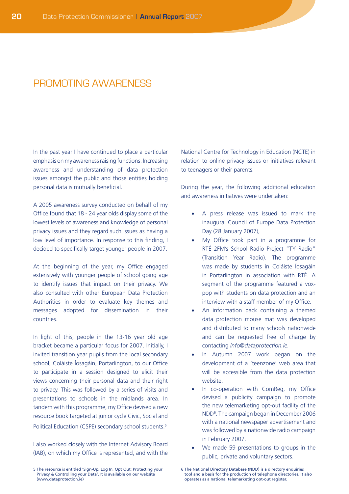## PROMOTING AWARENESS

In the past year I have continued to place a particular emphasis on my awareness raising functions. Increasing awareness and understanding of data protection issues amongst the public and those entities holding personal data is mutually beneficial.

A 2005 awareness survey conducted on behalf of my Office found that 18 - 24 year olds display some of the lowest levels of awareness and knowledge of personal privacy issues and they regard such issues as having a low level of importance. In response to this finding, I decided to specifically target younger people in 2007.

At the beginning of the year, my Office engaged extensively with younger people of school going age to identify issues that impact on their privacy. We also consulted with other European Data Protection Authorities in order to evaluate key themes and messages adopted for dissemination in their countries.

In light of this, people in the 13-16 year old age bracket became a particular focus for 2007. Initially, I invited transition year pupils from the local secondary school, Coláiste Íosagáin, Portarlington, to our Office to participate in a session designed to elicit their views concerning their personal data and their right to privacy. This was followed by a series of visits and presentations to schools in the midlands area. In tandem with this programme, my Office devised a new resource book targeted at junior cycle Civic, Social and Political Education (CSPE) secondary school students.<sup>5</sup>

I also worked closely with the Internet Advisory Board (IAB), on which my Office is represented, and with the National Centre for Technology in Education (NCTE) in relation to online privacy issues or initiatives relevant to teenagers or their parents.

During the year, the following additional education and awareness initiatives were undertaken:

- A press release was issued to mark the inaugural Council of Europe Data Protection Day (28 January 2007),
- My Office took part in a programme for RTÉ 2FM's School Radio Project "TY Radio" (Transition Year Radio). The programme was made by students in Coláiste Íosagáin in Portarlington in association with RTÉ. A segment of the programme featured a voxpop with students on data protection and an interview with a staff member of my Office.
- An information pack containing a themed data protection mouse mat was developed and distributed to many schools nationwide and can be requested free of charge by contacting *info@dataprotection.ie.*
- In Autumn 2007 work began on the development of a 'teenzone' web area that will be accessible from the data protection website.
- In co-operation with ComReg, my Office devised a publicity campaign to promote the new telemarketing opt-out facility of the NDD6 . The campaign began in December 2006 with a national newspaper advertisement and was followed by a nationwide radio campaign in February 2007.
- We made 59 presentations to groups in the public, private and voluntary sectors.

<sup>5</sup> The resource is entitled 'Sign-Up, Log In, Opt Out: Protecting your Privacy & Controlling your Data'. It is available on our website (www.dataprotection.ie)

<sup>6</sup> The National Directory Database (NDD) is a directory enquiries tool and a basis for the production of telephone directories. It also operates as a national telemarketing opt-out register.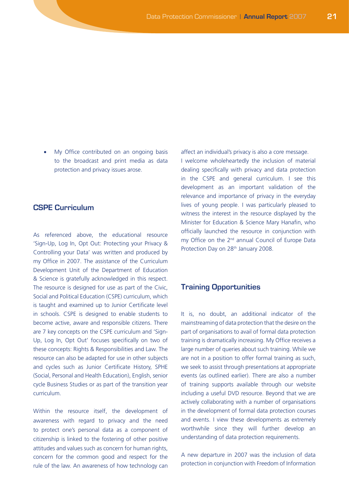• My Office contributed on an ongoing basis to the broadcast and print media as data protection and privacy issues arose.

## **CSPE Curriculum**

As referenced above, the educational resource 'Sign-Up, Log In, Opt Out: Protecting your Privacy & Controlling your Data' was written and produced by my Office in 2007. The assistance of the Curriculum Development Unit of the Department of Education & Science is gratefully acknowledged in this respect. The resource is designed for use as part of the Civic, Social and Political Education (CSPE) curriculum, which is taught and examined up to Junior Certificate level in schools. CSPE is designed to enable students to become active, aware and responsible citizens. There are 7 key concepts on the CSPE curriculum and 'Sign-Up, Log In, Opt Out' focuses specifically on two of these concepts: Rights & Responsibilities and Law. The resource can also be adapted for use in other subjects and cycles such as Junior Certificate History, SPHE (Social, Personal and Health Education), English, senior cycle Business Studies or as part of the transition year curriculum.

Within the resource itself, the development of awareness with regard to privacy and the need to protect one's personal data as a component of citizenship is linked to the fostering of other positive attitudes and values such as concern for human rights, concern for the common good and respect for the rule of the law. An awareness of how technology can

affect an individual's privacy is also a core message.

I welcome wholeheartedly the inclusion of material dealing specifically with privacy and data protection in the CSPE and general curriculum. I see this development as an important validation of the relevance and importance of privacy in the everyday lives of young people. I was particularly pleased to witness the interest in the resource displayed by the Minister for Education & Science Mary Hanafin, who officially launched the resource in conjunction with my Office on the 2<sup>nd</sup> annual Council of Europe Data Protection Day on 28<sup>th</sup> January 2008.

#### **Training Opportunities**

It is, no doubt, an additional indicator of the mainstreaming of data protection that the desire on the part of organisations to avail of formal data protection training is dramatically increasing. My Office receives a large number of queries about such training. While we are not in a position to offer formal training as such, we seek to assist through presentations at appropriate events (as outlined earlier). There are also a number of training supports available through our website including a useful DVD resource. Beyond that we are actively collaborating with a number of organisations in the development of formal data protection courses and events. I view these developments as extremely worthwhile since they will further develop an understanding of data protection requirements.

A new departure in 2007 was the inclusion of data protection in conjunction with Freedom of Information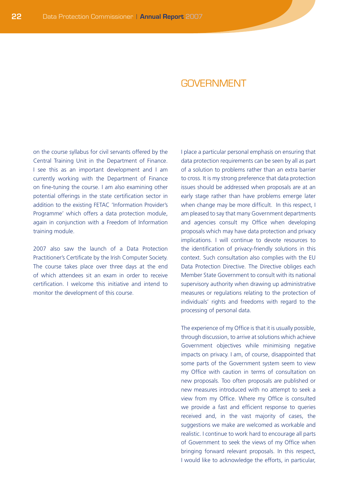## GOVERNMENT

on the course syllabus for civil servants offered by the Central Training Unit in the Department of Finance. I see this as an important development and I am currently working with the Department of Finance on fine-tuning the course. I am also examining other potential offerings in the state certification sector in addition to the existing FETAC 'Information Provider's Programme' which offers a data protection module, again in conjunction with a Freedom of Information training module.

2007 also saw the launch of a Data Protection Practitioner's Certificate by the Irish Computer Society. The course takes place over three days at the end of which attendees sit an exam in order to receive certification. I welcome this initiative and intend to monitor the development of this course.

I place a particular personal emphasis on ensuring that data protection requirements can be seen by all as part of a solution to problems rather than an extra barrier to cross. It is my strong preference that data protection issues should be addressed when proposals are at an early stage rather than have problems emerge later when change may be more difficult. In this respect, I am pleased to say that many Government departments and agencies consult my Office when developing proposals which may have data protection and privacy implications. I will continue to devote resources to the identification of privacy-friendly solutions in this context. Such consultation also complies with the EU Data Protection Directive. The Directive obliges each Member State Government to consult with its national supervisory authority when drawing up administrative measures or regulations relating to the protection of individuals' rights and freedoms with regard to the processing of personal data.

The experience of my Office is that it is usually possible, through discussion, to arrive at solutions which achieve Government objectives while minimising negative impacts on privacy. I am, of course, disappointed that some parts of the Government system seem to view my Office with caution in terms of consultation on new proposals. Too often proposals are published or new measures introduced with no attempt to seek a view from my Office. Where my Office is consulted we provide a fast and efficient response to queries received and, in the vast majority of cases, the suggestions we make are welcomed as workable and realistic. I continue to work hard to encourage all parts of Government to seek the views of my Office when bringing forward relevant proposals. In this respect, I would like to acknowledge the efforts, in particular,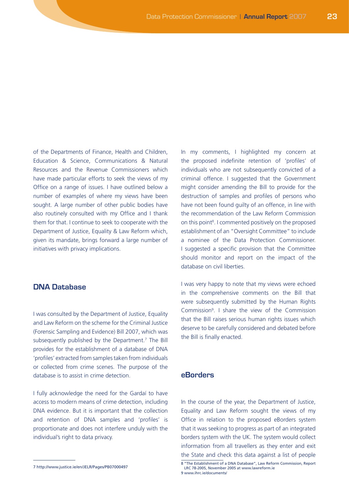of the Departments of Finance, Health and Children, Education & Science, Communications & Natural Resources and the Revenue Commissioners which have made particular efforts to seek the views of my Office on a range of issues. I have outlined below a number of examples of where my views have been sought. A large number of other public bodies have also routinely consulted with my Office and I thank them for that. I continue to seek to cooperate with the Department of Justice, Equality & Law Reform which, given its mandate, brings forward a large number of initiatives with privacy implications.

#### **DNA Database**

I was consulted by the Department of Justice, Equality and Law Reform on the scheme for the Criminal Justice (Forensic Sampling and Evidence) Bill 2007, which was subsequently published by the Department.<sup>7</sup> The Bill provides for the establishment of a database of DNA 'profiles' extracted from samples taken from individuals or collected from crime scenes. The purpose of the database is to assist in crime detection.

I fully acknowledge the need for the Gardaí to have access to modern means of crime detection, including DNA evidence. But it is important that the collection and retention of DNA samples and 'profiles' is proportionate and does not interfere unduly with the individual's right to data privacy.

7 http://www.justice.ie/en/JELR/Pages/PB07000497

In my comments, I highlighted my concern at the proposed indefinite retention of 'profiles' of individuals who are not subsequently convicted of a criminal offence. I suggested that the Government might consider amending the Bill to provide for the destruction of samples and profiles of persons who have not been found guilty of an offence, in line with the recommendation of the Law Reform Commission on this point<sup>8</sup>. I commented positively on the proposed establishment of an "Oversight Committee" to include a nominee of the Data Protection Commissioner. I suggested a specific provision that the Committee should monitor and report on the impact of the database on civil liberties.

I was very happy to note that my views were echoed in the comprehensive comments on the Bill that were subsequently submitted by the Human Rights Commission<sup>9</sup>. I share the view of the Commission that the Bill raises serious human rights issues which deserve to be carefully considered and debated before the Bill is finally enacted.

### **eBorders**

In the course of the year, the Department of Justice, Equality and Law Reform sought the views of my Office in relation to the proposed eBorders system that it was seeking to progress as part of an integrated borders system with the UK. The system would collect information from all travellers as they enter and exit the State and check this data against a list of people

<sup>8 &</sup>quot;The Establishment of a DNA Database", Law Reform Commission, Report LRC 78-2005, November 2005 at www.lawreform.ie

<sup>9</sup> www.ihrc.ie/documents/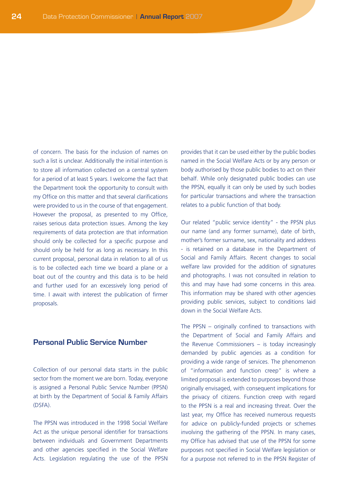of concern. The basis for the inclusion of names on such a list is unclear. Additionally the initial intention is to store all information collected on a central system for a period of at least 5 years. I welcome the fact that the Department took the opportunity to consult with my Office on this matter and that several clarifications were provided to us in the course of that engagement. However the proposal, as presented to my Office, raises serious data protection issues. Among the key requirements of data protection are that information should only be collected for a specific purpose and should only be held for as long as necessary. In this current proposal, personal data in relation to all of us is to be collected each time we board a plane or a boat out of the country and this data is to be held and further used for an excessively long period of time. I await with interest the publication of firmer proposals.

#### **Personal Public Service Number**

Collection of our personal data starts in the public sector from the moment we are born. Today, everyone is assigned a Personal Public Service Number (PPSN) at birth by the Department of Social & Family Affairs (DSFA).

The PPSN was introduced in the 1998 Social Welfare Act as the unique personal identifier for transactions between individuals and Government Departments and other agencies specified in the Social Welfare Acts. Legislation regulating the use of the PPSN

provides that it can be used either by the public bodies named in the Social Welfare Acts or by any person or body authorised by those public bodies to act on their behalf. While only designated public bodies can use the PPSN, equally it can only be used by such bodies for particular transactions and where the transaction relates to a public function of that body.

Our related "public service identity" - the PPSN plus our name (and any former surname), date of birth, mother's former surname, sex, nationality and address - is retained on a database in the Department of Social and Family Affairs. Recent changes to social welfare law provided for the addition of signatures and photographs. I was not consulted in relation to this and may have had some concerns in this area. This information may be shared with other agencies providing public services, subject to conditions laid down in the Social Welfare Acts.

The PPSN – originally confined to transactions with the Department of Social and Family Affairs and the Revenue Commissioners – is today increasingly demanded by public agencies as a condition for providing a wide range of services. The phenomenon of "information and function creep" is where a limited proposal is extended to purposes beyond those originally envisaged, with consequent implications for the privacy of citizens. Function creep with regard to the PPSN is a real and increasing threat. Over the last year, my Office has received numerous requests for advice on publicly-funded projects or schemes involving the gathering of the PPSN. In many cases, my Office has advised that use of the PPSN for some purposes not specified in Social Welfare legislation or for a purpose not referred to in the PPSN Register of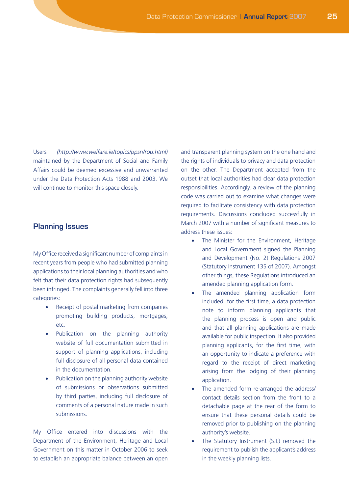Users *(http://www.welfare.ie/topics/ppsn/rou.html)*  maintained by the Department of Social and Family Affairs could be deemed excessive and unwarranted under the Data Protection Acts 1988 and 2003. We will continue to monitor this space closely.

#### **Planning Issues**

My Office received a significant number of complaints in recent years from people who had submitted planning applications to their local planning authorities and who felt that their data protection rights had subsequently been infringed. The complaints generally fell into three categories:

- Receipt of postal marketing from companies promoting building products, mortgages, etc.
- Publication on the planning authority website of full documentation submitted in support of planning applications, including full disclosure of all personal data contained in the documentation.
- Publication on the planning authority website of submissions or observations submitted by third parties, including full disclosure of comments of a personal nature made in such submissions.

My Office entered into discussions with the Department of the Environment, Heritage and Local Government on this matter in October 2006 to seek to establish an appropriate balance between an open and transparent planning system on the one hand and the rights of individuals to privacy and data protection on the other. The Department accepted from the outset that local authorities had clear data protection responsibilities. Accordingly, a review of the planning code was carried out to examine what changes were required to facilitate consistency with data protection requirements. Discussions concluded successfully in March 2007 with a number of significant measures to address these issues:

- The Minister for the Environment, Heritage and Local Government signed the Planning and Development (No. 2) Regulations 2007 (Statutory Instrument 135 of 2007). Amongst other things, these Regulations introduced an amended planning application form.
- The amended planning application form included, for the first time, a data protection note to inform planning applicants that the planning process is open and public and that all planning applications are made available for public inspection. It also provided planning applicants, for the first time, with an opportunity to indicate a preference with regard to the receipt of direct marketing arising from the lodging of their planning application.
- The amended form re-arranged the address/ contact details section from the front to a detachable page at the rear of the form to ensure that these personal details could be removed prior to publishing on the planning authority's website.
- The Statutory Instrument (S.I.) removed the requirement to publish the applicant's address in the weekly planning lists.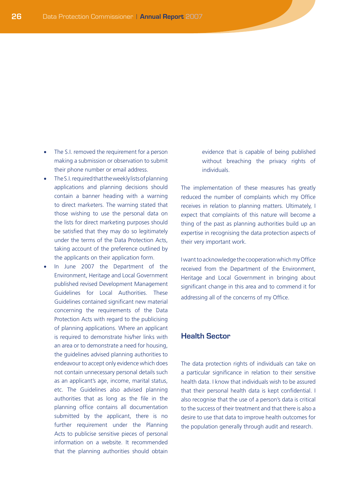- The S.I. removed the requirement for a person making a submission or observation to submit their phone number or email address.
- The S.I. required that the weekly lists of planning applications and planning decisions should contain a banner heading with a warning to direct marketers. The warning stated that those wishing to use the personal data on the lists for direct marketing purposes should be satisfied that they may do so legitimately under the terms of the Data Protection Acts, taking account of the preference outlined by the applicants on their application form.
- • In June 2007 the Department of the Environment, Heritage and Local Government published revised Development Management Guidelines for Local Authorities. These Guidelines contained significant new material concerning the requirements of the Data Protection Acts with regard to the publicising of planning applications. Where an applicant is required to demonstrate his/her links with an area or to demonstrate a need for housing, the guidelines advised planning authorities to endeavour to accept only evidence which does not contain unnecessary personal details such as an applicant's age, income, marital status, etc. The Guidelines also advised planning authorities that as long as the file in the planning office contains all documentation submitted by the applicant, there is no further requirement under the Planning Acts to publicise sensitive pieces of personal information on a website. It recommended that the planning authorities should obtain

evidence that is capable of being published without breaching the privacy rights of individuals.

The implementation of these measures has greatly reduced the number of complaints which my Office receives in relation to planning matters. Ultimately, I expect that complaints of this nature will become a thing of the past as planning authorities build up an expertise in recognising the data protection aspects of their very important work.

I want to acknowledge the cooperation which my Office received from the Department of the Environment, Heritage and Local Government in bringing about significant change in this area and to commend it for addressing all of the concerns of my Office.

#### **Health Sector**

The data protection rights of individuals can take on a particular significance in relation to their sensitive health data. I know that individuals wish to be assured that their personal health data is kept confidential. I also recognise that the use of a person's data is critical to the success of their treatment and that there is also a desire to use that data to improve health outcomes for the population generally through audit and research.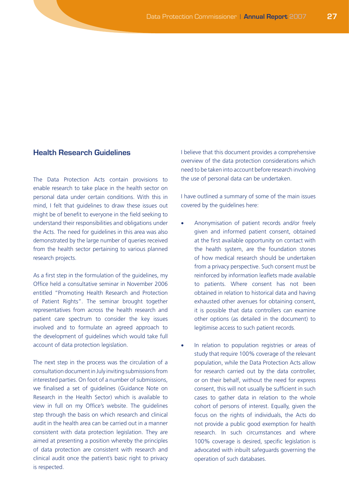#### **Health Research Guidelines**

The Data Protection Acts contain provisions to enable research to take place in the health sector on personal data under certain conditions. With this in mind, I felt that guidelines to draw these issues out might be of benefit to everyone in the field seeking to understand their responsibilities and obligations under the Acts. The need for guidelines in this area was also demonstrated by the large number of queries received from the health sector pertaining to various planned research projects.

As a first step in the formulation of the guidelines, my Office held a consultative seminar in November 2006 entitled "Promoting Health Research and Protection of Patient Rights". The seminar brought together representatives from across the health research and patient care spectrum to consider the key issues involved and to formulate an agreed approach to the development of guidelines which would take full account of data protection legislation.

The next step in the process was the circulation of a consultation document in July inviting submissions from interested parties. On foot of a number of submissions, we finalised a set of guidelines (Guidance Note on Research in the Health Sector) which is available to view in full on my Office's website. The guidelines step through the basis on which research and clinical audit in the health area can be carried out in a manner consistent with data protection legislation. They are aimed at presenting a position whereby the principles of data protection are consistent with research and clinical audit once the patient's basic right to privacy is respected.

I believe that this document provides a comprehensive overview of the data protection considerations which need to be taken into account before research involving the use of personal data can be undertaken.

I have outlined a summary of some of the main issues covered by the guidelines here:

- Anonymisation of patient records and/or freely given and informed patient consent, obtained at the first available opportunity on contact with the health system, are the foundation stones of how medical research should be undertaken from a privacy perspective. Such consent must be reinforced by information leaflets made available to patients. Where consent has not been obtained in relation to historical data and having exhausted other avenues for obtaining consent, it is possible that data controllers can examine other options (as detailed in the document) to legitimise access to such patient records.
- In relation to population registries or areas of study that require 100% coverage of the relevant population, while the Data Protection Acts allow for research carried out by the data controller, or on their behalf, without the need for express consent, this will not usually be sufficient in such cases to gather data in relation to the whole cohort of persons of interest. Equally, given the focus on the rights of individuals, the Acts do not provide a public good exemption for health research. In such circumstances and where 100% coverage is desired, specific legislation is advocated with inbuilt safeguards governing the operation of such databases.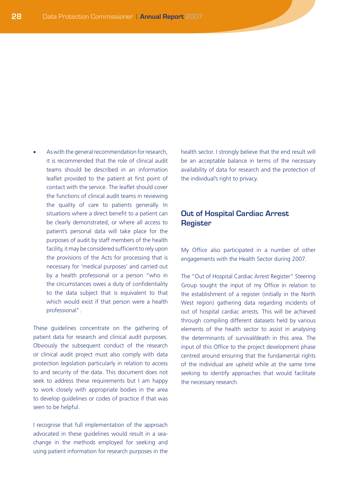As with the general recommendation for research, it is recommended that the role of clinical audit teams should be described in an information leaflet provided to the patient at first point of contact with the service. The leaflet should cover the functions of clinical audit teams in reviewing the quality of care to patients generally. In situations where a direct benefit to a patient can be clearly demonstrated, or where all access to patient's personal data will take place for the purposes of audit by staff members of the health facility, it may be considered sufficient to rely upon the provisions of the Acts for processing that is necessary for 'medical purposes' and carried out by a health professional or a person "who in the circumstances owes a duty of confidentiality to the data subject that is equivalent to that which would exist if that person were a health professional".

These guidelines concentrate on the gathering of patient data for research and clinical audit purposes. Obviously the subsequent conduct of the research or clinical audit project must also comply with data protection legislation particularly in relation to access to and security of the data. This document does not seek to address these requirements but I am happy to work closely with appropriate bodies in the area to develop guidelines or codes of practice if that was seen to be helpful.

I recognise that full implementation of the approach advocated in these guidelines would result in a seachange in the methods employed for seeking and using patient information for research purposes in the

health sector. I strongly believe that the end result will be an acceptable balance in terms of the necessary availability of data for research and the protection of the individual's right to privacy.

## **Out of Hospital Cardiac Arrest Register**

My Office also participated in a number of other engagements with the Health Sector during 2007.

The "Out of Hospital Cardiac Arrest Register" Steering Group sought the input of my Office in relation to the establishment of a register (initially in the North West region) gathering data regarding incidents of out of hospital cardiac arrests. This will be achieved through compiling different datasets held by various elements of the health sector to assist in analysing the determinants of survival/death in this area. The input of this Office to the project development phase centred around ensuring that the fundamental rights of the individual are upheld while at the same time seeking to identify approaches that would facilitate the necessary research.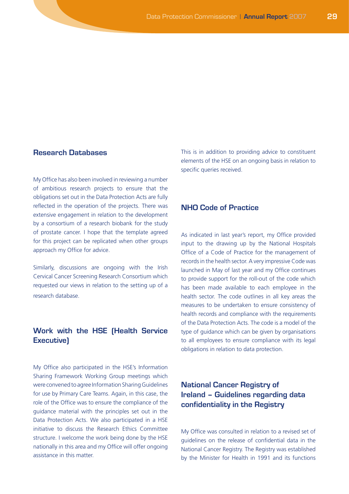## **Research Databases**

My Office has also been involved in reviewing a number of ambitious research projects to ensure that the obligations set out in the Data Protection Acts are fully reflected in the operation of the projects. There was extensive engagement in relation to the development by a consortium of a research biobank for the study of prostate cancer. I hope that the template agreed for this project can be replicated when other groups approach my Office for advice.

Similarly, discussions are ongoing with the Irish Cervical Cancer Screening Research Consortium which requested our views in relation to the setting up of a research database.

## **Work with the HSE (Health Service Executive)**

My Office also participated in the HSE's Information Sharing Framework Working Group meetings which were convened to agree Information Sharing Guidelines for use by Primary Care Teams. Again, in this case, the role of the Office was to ensure the compliance of the guidance material with the principles set out in the Data Protection Acts. We also participated in a HSE initiative to discuss the Research Ethics Committee structure. I welcome the work being done by the HSE nationally in this area and my Office will offer ongoing assistance in this matter.

This is in addition to providing advice to constituent elements of the HSE on an ongoing basis in relation to specific queries received.

### **NHO Code of Practice**

As indicated in last year's report, my Office provided input to the drawing up by the National Hospitals Office of a Code of Practice for the management of records in the health sector. A very impressive Code was launched in May of last year and my Office continues to provide support for the roll-out of the code which has been made available to each employee in the health sector. The code outlines in all key areas the measures to be undertaken to ensure consistency of health records and compliance with the requirements of the Data Protection Acts. The code is a model of the type of guidance which can be given by organisations to all employees to ensure compliance with its legal obligations in relation to data protection.

## **National Cancer Registry of Ireland – Guidelines regarding data confidentiality in the Registry**

My Office was consulted in relation to a revised set of guidelines on the release of confidential data in the National Cancer Registry. The Registry was established by the Minister for Health in 1991 and its functions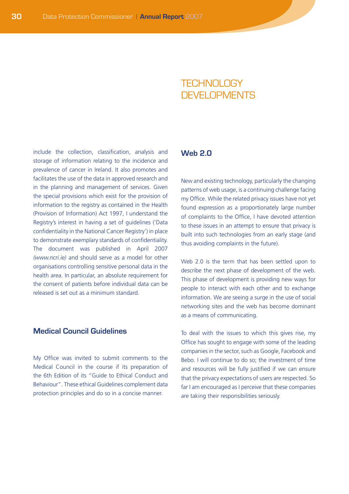## **TECHNOLOGY** DEVELOPMENTS

include the collection, classification, analysis and storage of information relating to the incidence and prevalence of cancer in Ireland. It also promotes and facilitates the use of the data in approved research and in the planning and management of services. Given the special provisions which exist for the provision of information to the registry as contained in the Health (Provision of Information) Act 1997, I understand the Registry's interest in having a set of guidelines ('Data confidentiality in the National Cancer Registry') in place to demonstrate exemplary standards of confidentiality. The document was published in April 2007 *(www.ncri.ie)* and should serve as a model for other organisations controlling sensitive personal data in the health area. In particular, an absolute requirement for the consent of patients before individual data can be released is set out as a minimum standard.

## **Medical Council Guidelines**

My Office was invited to submit comments to the Medical Council in the course if its preparation of the 6th Edition of its "Guide to Ethical Conduct and Behaviour". These ethical Guidelines complement data protection principles and do so in a concise manner.

## **Web 2.0**

New and existing technology, particularly the changing patterns of web usage, is a continuing challenge facing my Office. While the related privacy issues have not yet found expression as a proportionately large number of complaints to the Office, I have devoted attention to these issues in an attempt to ensure that privacy is built into such technologies from an early stage (and thus avoiding complaints in the future).

Web 2.0 is the term that has been settled upon to describe the next phase of development of the web. This phase of development is providing new ways for people to interact with each other and to exchange information. We are seeing a surge in the use of social networking sites and the web has become dominant as a means of communicating.

To deal with the issues to which this gives rise, my Office has sought to engage with some of the leading companies in the sector, such as Google, Facebook and Bebo. I will continue to do so; the investment of time and resources will be fully justified if we can ensure that the privacy expectations of users are respected. So far I am encouraged as I perceive that these companies are taking their responsibilities seriously.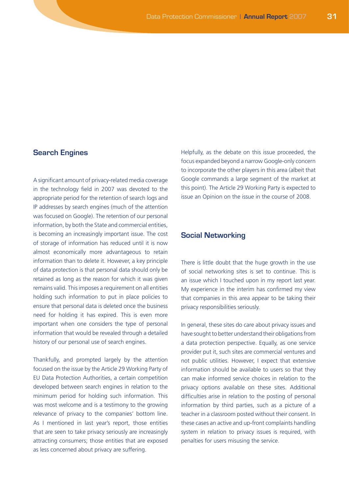## **Search Engines**

A significant amount of privacy-related media coverage in the technology field in 2007 was devoted to the appropriate period for the retention of search logs and IP addresses by search engines (much of the attention was focused on Google). The retention of our personal information, by both the State and commercial entities, is becoming an increasingly important issue. The cost of storage of information has reduced until it is now almost economically more advantageous to retain information than to delete it. However, a key principle of data protection is that personal data should only be retained as long as the reason for which it was given remains valid. This imposes a requirement on all entities holding such information to put in place policies to ensure that personal data is deleted once the business need for holding it has expired. This is even more important when one considers the type of personal information that would be revealed through a detailed history of our personal use of search engines.

Thankfully, and prompted largely by the attention focused on the issue by the Article 29 Working Party of EU Data Protection Authorities, a certain competition developed between search engines in relation to the minimum period for holding such information. This was most welcome and is a testimony to the growing relevance of privacy to the companies' bottom line. As I mentioned in last year's report, those entities that are seen to take privacy seriously are increasingly attracting consumers; those entities that are exposed as less concerned about privacy are suffering.

Helpfully, as the debate on this issue proceeded, the focus expanded beyond a narrow Google-only concern to incorporate the other players in this area (albeit that Google commands a large segment of the market at this point). The Article 29 Working Party is expected to issue an Opinion on the issue in the course of 2008.

#### **Social Networking**

There is little doubt that the huge growth in the use of social networking sites is set to continue. This is an issue which I touched upon in my report last year. My experience in the interim has confirmed my view that companies in this area appear to be taking their privacy responsibilities seriously.

In general, these sites do care about privacy issues and have sought to better understand their obligations from a data protection perspective. Equally, as one service provider put it, such sites are commercial ventures and not public utilities. However, I expect that extensive information should be available to users so that they can make informed service choices in relation to the privacy options available on these sites. Additional difficulties arise in relation to the posting of personal information by third parties, such as a picture of a teacher in a classroom posted without their consent. In these cases an active and up-front complaints handling system in relation to privacy issues is required, with penalties for users misusing the service.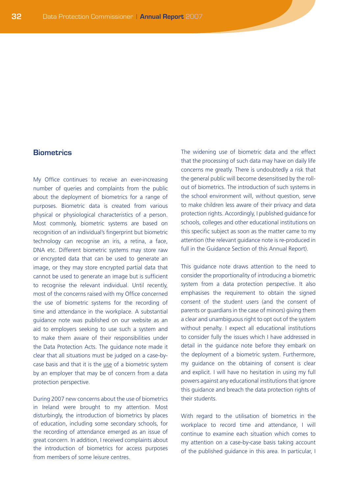### **Biometrics**

My Office continues to receive an ever-increasing number of queries and complaints from the public about the deployment of biometrics for a range of purposes. Biometric data is created from various physical or physiological characteristics of a person. Most commonly, biometric systems are based on recognition of an individual's fingerprint but biometric technology can recognise an iris, a retina, a face, DNA etc. Different biometric systems may store raw or encrypted data that can be used to generate an image, or they may store encrypted partial data that cannot be used to generate an image but is sufficient to recognise the relevant individual. Until recently, most of the concerns raised with my Office concerned the use of biometric systems for the recording of time and attendance in the workplace. A substantial guidance note was published on our website as an aid to employers seeking to use such a system and to make them aware of their responsibilities under the Data Protection Acts. The guidance note made it clear that all situations must be judged on a case-bycase basis and that it is the use of a biometric system by an employer that may be of concern from a data protection perspective.

During 2007 new concerns about the use of biometrics in Ireland were brought to my attention. Most disturbingly, the introduction of biometrics by places of education, including some secondary schools, for the recording of attendance emerged as an issue of great concern. In addition, I received complaints about the introduction of biometrics for access purposes from members of some leisure centres.

The widening use of biometric data and the effect that the processing of such data may have on daily life concerns me greatly. There is undoubtedly a risk that the general public will become desensitised by the rollout of biometrics. The introduction of such systems in the school environment will, without question, serve to make children less aware of their privacy and data protection rights. Accordingly, I published guidance for schools, colleges and other educational institutions on this specific subject as soon as the matter came to my attention (the relevant guidance note is re-produced in full in the Guidance Section of this Annual Report).

This guidance note draws attention to the need to consider the proportionality of introducing a biometric system from a data protection perspective. It also emphasises the requirement to obtain the signed consent of the student users (and the consent of parents or guardians in the case of minors) giving them a clear and unambiguous right to opt out of the system without penalty. I expect all educational institutions to consider fully the issues which I have addressed in detail in the guidance note before they embark on the deployment of a biometric system. Furthermore, my guidance on the obtaining of consent is clear and explicit. I will have no hesitation in using my full powers against any educational institutions that ignore this guidance and breach the data protection rights of their students.

With regard to the utilisation of biometrics in the workplace to record time and attendance, I will continue to examine each situation which comes to my attention on a case-by-case basis taking account of the published guidance in this area. In particular, I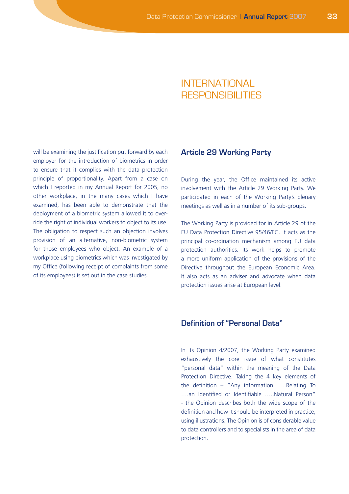## INTERNATIONAL RESPONSIBILITIES

will be examining the justification put forward by each employer for the introduction of biometrics in order to ensure that it complies with the data protection principle of proportionality. Apart from a case on which I reported in my Annual Report for 2005, no other workplace, in the many cases which I have examined, has been able to demonstrate that the deployment of a biometric system allowed it to override the right of individual workers to object to its use. The obligation to respect such an objection involves provision of an alternative, non-biometric system for those employees who object. An example of a workplace using biometrics which was investigated by my Office (following receipt of complaints from some of its employees) is set out in the case studies.

#### **Article 29 Working Party**

During the year, the Office maintained its active involvement with the Article 29 Working Party. We participated in each of the Working Party's plenary meetings as well as in a number of its sub-groups.

The Working Party is provided for in Article 29 of the EU Data Protection Directive 95/46/EC. It acts as the principal co-ordination mechanism among EU data protection authorities. Its work helps to promote a more uniform application of the provisions of the Directive throughout the European Economic Area. It also acts as an adviser and advocate when data protection issues arise at European level.

## **Definition of "Personal Data"**

In its Opinion 4/2007, the Working Party examined exhaustively the core issue of what constitutes "personal data" within the meaning of the Data Protection Directive. Taking the 4 key elements of the definition – "Any information …..Relating To ….an Identified or Identifiable …..Natural Person" - the Opinion describes both the wide scope of the definition and how it should be interpreted in practice, using illustrations. The Opinion is of considerable value to data controllers and to specialists in the area of data protection.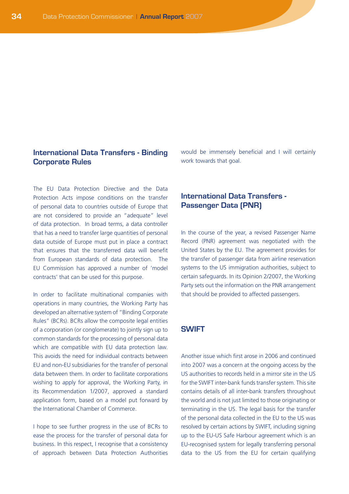### **International Data Transfers - Binding Corporate Rules**

The EU Data Protection Directive and the Data Protection Acts impose conditions on the transfer of personal data to countries outside of Europe that are not considered to provide an "adequate" level of data protection. In broad terms, a data controller that has a need to transfer large quantities of personal data outside of Europe must put in place a contract that ensures that the transferred data will benefit from European standards of data protection. The EU Commission has approved a number of 'model contracts' that can be used for this purpose.

In order to facilitate multinational companies with operations in many countries, the Working Party has developed an alternative system of "Binding Corporate Rules" (BCRs). BCRs allow the composite legal entities of a corporation (or conglomerate) to jointly sign up to common standards for the processing of personal data which are compatible with EU data protection law. This avoids the need for individual contracts between EU and non-EU subsidiaries for the transfer of personal data between them. In order to facilitate corporations wishing to apply for approval, the Working Party, in its Recommendation 1/2007, approved a standard application form, based on a model put forward by the International Chamber of Commerce.

I hope to see further progress in the use of BCRs to ease the process for the transfer of personal data for business. In this respect, I recognise that a consistency of approach between Data Protection Authorities would be immensely beneficial and I will certainly work towards that goal.

## **International Data Transfers - Passenger Data (PNR)**

In the course of the year, a revised Passenger Name Record (PNR) agreement was negotiated with the United States by the EU. The agreement provides for the transfer of passenger data from airline reservation systems to the US immigration authorities, subject to certain safeguards. In its Opinion 2/2007, the Working Party sets out the information on the PNR arrangement that should be provided to affected passengers.

#### **SWIFT**

Another issue which first arose in 2006 and continued into 2007 was a concern at the ongoing access by the US authorities to records held in a mirror site in the US for the SWIFT inter-bank funds transfer system. This site contains details of all inter-bank transfers throughout the world and is not just limited to those originating or terminating in the US. The legal basis for the transfer of the personal data collected in the EU to the US was resolved by certain actions by SWIFT, including signing up to the EU-US Safe Harbour agreement which is an EU-recognised system for legally transferring personal data to the US from the EU for certain qualifying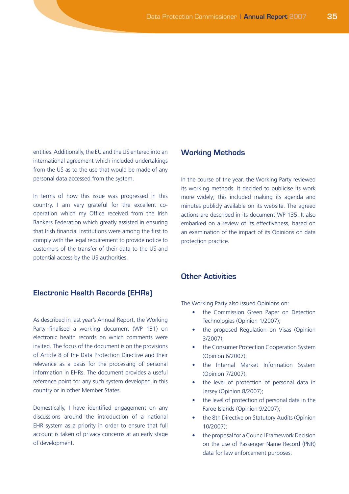entities. Additionally, the EU and the US entered into an international agreement which included undertakings from the US as to the use that would be made of any personal data accessed from the system.

In terms of how this issue was progressed in this country, I am very grateful for the excellent cooperation which my Office received from the Irish Bankers Federation which greatly assisted in ensuring that Irish financial institutions were among the first to comply with the legal requirement to provide notice to customers of the transfer of their data to the US and potential access by the US authorities.

#### **Electronic Health Records (EHRs)**

As described in last year's Annual Report, the Working Party finalised a working document (WP 131) on electronic health records on which comments were invited. The focus of the document is on the provisions of Article 8 of the Data Protection Directive and their relevance as a basis for the processing of personal information in EHRs. The document provides a useful reference point for any such system developed in this country or in other Member States.

Domestically, I have identified engagement on any discussions around the introduction of a national EHR system as a priority in order to ensure that full account is taken of privacy concerns at an early stage of development.

#### **Working Methods**

In the course of the year, the Working Party reviewed its working methods. It decided to publicise its work more widely; this included making its agenda and minutes publicly available on its website. The agreed actions are described in its document WP 135. It also embarked on a review of its effectiveness, based on an examination of the impact of its Opinions on data protection practice.

#### **Other Activities**

The Working Party also issued Opinions on:

- the Commission Green Paper on Detection Technologies (Opinion 1/2007);
- the proposed Regulation on Visas (Opinion 3/2007);
- the Consumer Protection Cooperation System (Opinion 6/2007);
- the Internal Market Information System (Opinion 7/2007);
- the level of protection of personal data in Jersey (Opinion 8/2007);
- the level of protection of personal data in the Faroe Islands (Opinion 9/2007);
- the 8th Directive on Statutory Audits (Opinion 10/2007);
- the proposal for a Council Framework Decision on the use of Passenger Name Record (PNR) data for law enforcement purposes.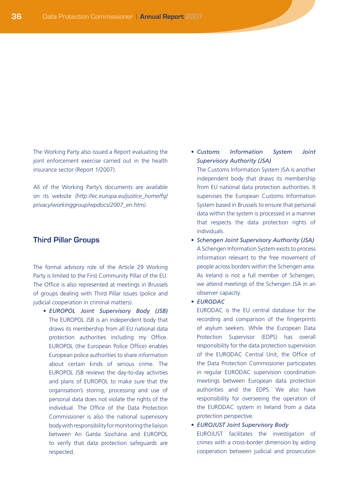The Working Party also issued a Report evaluating the joint enforcement exercise carried out in the health insurance sector (Report 1/2007).

All of the Working Party's documents are available on its website *(http://ec.europa.eu/justice\_home/fsj/ privacy/workinggroup/wpdocs/2007\_en.htm).*

#### **Third Pillar Groups**

The formal advisory role of the Article 29 Working Party is limited to the First Community Pillar of the EU. The Office is also represented at meetings in Brussels of groups dealing with Third Pillar issues (police and judicial cooperation in criminal matters).

• *EUROPOL Joint Supervisory Body (JSB)*  The EUROPOL JSB is an independent body that draws its membership from all EU national data protection authorities including my Office. EUROPOL (the European Police Office) enables European police authorities to share information about certain kinds of serious crime. The EUROPOL JSB reviews the day-to-day activities and plans of EUROPOL to make sure that the organisation's storing, processing and use of personal data does not violate the rights of the individual. The Office of the Data Protection Commissioner is also the national supervisory body with responsibility for monitoring the liaison between An Garda Síochána and EUROPOL to verify that data protection safeguards are respected.

• *Customs Information System Joint Supervisory Authority (JSA)*

 The Customs Information System JSA is another independent body that draws its membership from EU national data protection authorities. It supervises the European Customs Information System based in Brussels to ensure that personal data within the system is processed in a manner that respects the data protection rights of individuals.

- • *Schengen Joint Supervisory Authority (JSA)* A Schengen Information System exists to process information relevant to the free movement of people across borders within the Schengen area. As Ireland is not a full member of Schengen, we attend meetings of the Schengen JSA in an observer capacity.
- • *EURODAC*

 EURODAC is the EU central database for the recording and comparison of the fingerprints of asylum seekers. While the European Data Protection Supervisor (EDPS) has overall responsibility for the data protection supervision of the EURODAC Central Unit, the Office of the Data Protection Commissioner participates in regular EURODAC supervision coordination meetings between European data protection authorities and the EDPS. We also have responsibility for overseeing the operation of the EURODAC system in Ireland from a data protection perspective.

• *EUROJUST Joint Supervisory Body* EUROJUST facilitates the investigation of crimes with a cross-border dimension by aiding cooperation between judicial and prosecution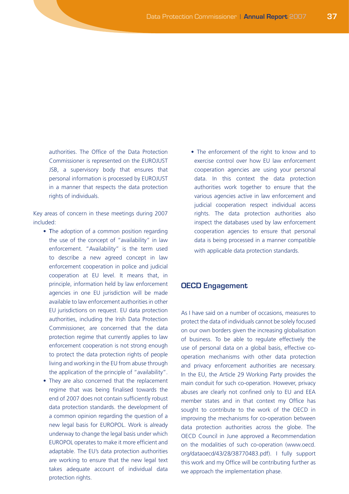authorities. The Office of the Data Protection Commissioner is represented on the EUROJUST JSB, a supervisory body that ensures that personal information is processed by EUROJUST in a manner that respects the data protection rights of individuals.

Key areas of concern in these meetings during 2007 included:

- The adoption of a common position regarding the use of the concept of "availability" in law enforcement. "Availability" is the term used to describe a new agreed concept in law enforcement cooperation in police and judicial cooperation at EU level. It means that, in principle, information held by law enforcement agencies in one EU jurisdiction will be made available to law enforcement authorities in other EU jurisdictions on request. EU data protection authorities, including the Irish Data Protection Commissioner, are concerned that the data protection regime that currently applies to law enforcement cooperation is not strong enough to protect the data protection rights of people living and working in the EU from abuse through the application of the principle of "availability".
- They are also concerned that the replacement regime that was being finalised towards the end of 2007 does not contain sufficiently robust data protection standards. the development of a common opinion regarding the question of a new legal basis for EUROPOL. Work is already underway to change the legal basis under which EUROPOL operates to make it more efficient and adaptable. The EU's data protection authorities are working to ensure that the new legal text takes adequate account of individual data protection rights.

• The enforcement of the right to know and to exercise control over how EU law enforcement cooperation agencies are using your personal data. In this context the data protection authorities work together to ensure that the various agencies active in law enforcement and judicial cooperation respect individual access rights. The data protection authorities also inspect the databases used by law enforcement cooperation agencies to ensure that personal data is being processed in a manner compatible with applicable data protection standards.

#### **OECD Engagement**

As I have said on a number of occasions, measures to protect the data of individuals cannot be solely focused on our own borders given the increasing globalisation of business. To be able to regulate effectively the use of personal data on a global basis, effective cooperation mechanisms with other data protection and privacy enforcement authorities are necessary. In the EU, the Article 29 Working Party provides the main conduit for such co-operation. However, privacy abuses are clearly not confined only to EU and EEA member states and in that context my Office has sought to contribute to the work of the OECD in improving the mechanisms for co-operation between data protection authorities across the globe. The OECD Council in June approved a Recommendation on the modalities of such co-operation (www.oecd. org/dataoecd/43/28/38770483.pdf). I fully support this work and my Office will be contributing further as we approach the implementation phase.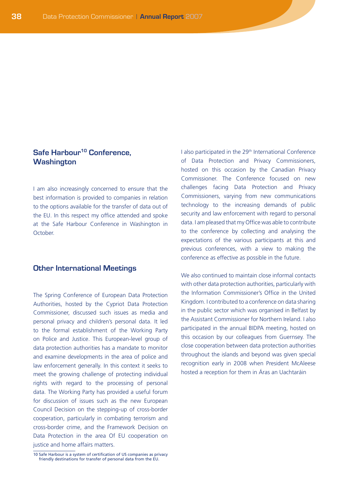## **Safe Harbour<sup>10</sup> Conference, Washington**

I am also increasingly concerned to ensure that the best information is provided to companies in relation to the options available for the transfer of data out of the EU. In this respect my office attended and spoke at the Safe Harbour Conference in Washington in **October** 

#### **Other International Meetings**

The Spring Conference of European Data Protection Authorities, hosted by the Cypriot Data Protection Commissioner, discussed such issues as media and personal privacy and children's personal data. It led to the formal establishment of the Working Party on Police and Justice. This European-level group of data protection authorities has a mandate to monitor and examine developments in the area of police and law enforcement generally. In this context it seeks to meet the growing challenge of protecting individual rights with regard to the processing of personal data. The Working Party has provided a useful forum for discussion of issues such as the new European Council Decision on the stepping-up of cross-border cooperation, particularly in combating terrorism and cross-border crime, and the Framework Decision on Data Protection in the area Of EU cooperation on justice and home affairs matters.

I also participated in the 29th International Conference of Data Protection and Privacy Commissioners, hosted on this occasion by the Canadian Privacy Commissioner. The Conference focused on new challenges facing Data Protection and Privacy Commissioners, varying from new communications technology to the increasing demands of public security and law enforcement with regard to personal data. I am pleased that my Office was able to contribute to the conference by collecting and analysing the expectations of the various participants at this and previous conferences, with a view to making the conference as effective as possible in the future.

We also continued to maintain close informal contacts with other data protection authorities, particularly with the Information Commissioner's Office in the United Kingdom. I contributed to a conference on data sharing in the public sector which was organised in Belfast by the Assistant Commissioner for Northern Ireland. I also participated in the annual BIDPA meeting, hosted on this occasion by our colleagues from Guernsey. The close cooperation between data protection authorities throughout the islands and beyond was given special recognition early in 2008 when President McAleese hosted a reception for them in Áras an Uachtaráin

<sup>10</sup> Safe Harbour is a system of certification of US companies as privacy friendly destinations for transfer of personal data from the EU.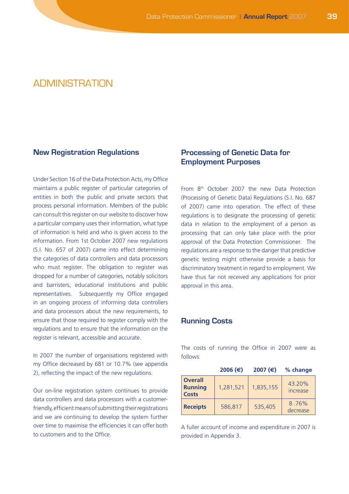# ADMINISTRATION

#### **New Registration Regulations**

Under Section 16 of the Data Protection Acts, my Office maintains a public register of particular categories of entities in both the public and private sectors that process personal information. Members of the public can consult this register on our website to discover how a particular company uses their information, what type of information is held and who is given access to the information. From 1st October 2007 new regulations (S.I. No. 657 of 2007) came into effect determining the categories of data controllers and data processors who must register. The obligation to register was dropped for a number of categories, notably solicitors and barristers, educational institutions and public representatives. Subsequently my Office engaged in an ongoing process of informing data controllers and data processors about the new requirements, to ensure that those required to register comply with the regulations and to ensure that the information on the register is relevant, accessible and accurate.

In 2007 the number of organisations registered with my Office decreased by 681 or 10.7% (see appendix 2), reflecting the impact of the new regulations.

Our on-line registration system continues to provide data controllers and data processors with a customerfriendly, efficient means of submitting their registrations and we are continuing to develop the system further over time to maximise the efficiencies it can offer both to customers and to the Office.

## **Processing of Genetic Data for Employment Purposes**

From 8th October 2007 the new Data Protection (Processing of Genetic Data) Regulations (S.I. No. 687 of 2007) came into operation. The effect of these regulations is to designate the processing of genetic data in relation to the employment of a person as processing that can only take place with the prior approval of the Data Protection Commissioner. The regulations are a response to the danger that predictive genetic testing might otherwise provide a basis for discriminatory treatment in regard to employment. We have thus far not received any applications for prior approval in this area.

#### **Running Costs**

The costs of running the Office in 2007 were as follows:

|                                                  | 2006 (€)  | 2007 (€)  | % change           |
|--------------------------------------------------|-----------|-----------|--------------------|
| <b>Overall</b><br><b>Running</b><br><b>Costs</b> | 1,281,521 | 1,835,155 | 43.20%<br>increase |
| <b>Receipts</b>                                  | 586,817   | 535,405   | 8.76%<br>decrease  |

A fuller account of income and expenditure in 2007 is provided in Appendix 3.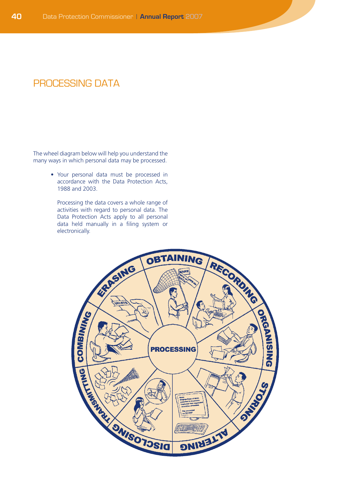# PROCESSING DATA

The wheel diagram below will help you understand the many ways in which personal data may be processed.

> • Your personal data must be processed in accordance with the Data Protection Acts, 1988 and 2003.

 Processing the data covers a whole range of activities with regard to personal data. The Data Protection Acts apply to all personal data held manually in a filing system or electronically.

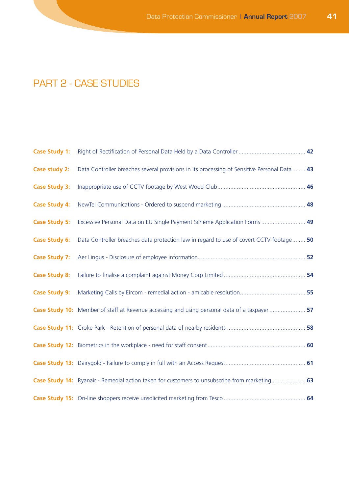# PART 2 - CASE STUDIES

| <b>Case Study 1:</b> |                                                                                                |  |
|----------------------|------------------------------------------------------------------------------------------------|--|
| Case study 2:        | Data Controller breaches several provisions in its processing of Sensitive Personal Data 43    |  |
| <b>Case Study 3:</b> |                                                                                                |  |
| <b>Case Study 4:</b> |                                                                                                |  |
| <b>Case Study 5:</b> | Excessive Personal Data on EU Single Payment Scheme Application Forms  49                      |  |
| <b>Case Study 6:</b> | Data Controller breaches data protection law in regard to use of covert CCTV footage 50        |  |
| <b>Case Study 7:</b> |                                                                                                |  |
| <b>Case Study 8:</b> |                                                                                                |  |
| <b>Case Study 9:</b> |                                                                                                |  |
|                      | Case Study 10: Member of staff at Revenue accessing and using personal data of a taxpayer  57  |  |
|                      |                                                                                                |  |
|                      |                                                                                                |  |
|                      |                                                                                                |  |
|                      | Case Study 14: Ryanair - Remedial action taken for customers to unsubscribe from marketing  63 |  |
|                      |                                                                                                |  |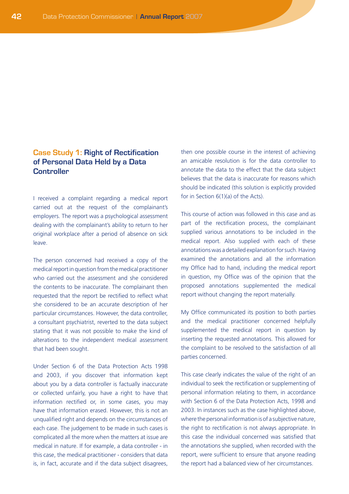## **Case Study 1: Right of Rectification of Personal Data Held by a Data Controller**

I received a complaint regarding a medical report carried out at the request of the complainant's employers. The report was a psychological assessment dealing with the complainant's ability to return to her original workplace after a period of absence on sick leave.

The person concerned had received a copy of the medical report in question from the medical practitioner who carried out the assessment and she considered the contents to be inaccurate. The complainant then requested that the report be rectified to reflect what she considered to be an accurate description of her particular circumstances. However, the data controller, a consultant psychiatrist, reverted to the data subject stating that it was not possible to make the kind of alterations to the independent medical assessment that had been sought.

Under Section 6 of the Data Protection Acts 1998 and 2003, if you discover that information kept about you by a data controller is factually inaccurate or collected unfairly, you have a right to have that information rectified or, in some cases, you may have that information erased. However, this is not an unqualified right and depends on the circumstances of each case. The judgement to be made in such cases is complicated all the more when the matters at issue are medical in nature. If for example, a data controller - in this case, the medical practitioner - considers that data is, in fact, accurate and if the data subject disagrees,

then one possible course in the interest of achieving an amicable resolution is for the data controller to annotate the data to the effect that the data subject believes that the data is inaccurate for reasons which should be indicated (this solution is explicitly provided for in Section 6(1)(a) of the Acts).

This course of action was followed in this case and as part of the rectification process, the complainant supplied various annotations to be included in the medical report. Also supplied with each of these annotations was a detailed explanation for such. Having examined the annotations and all the information my Office had to hand, including the medical report in question, my Office was of the opinion that the proposed annotations supplemented the medical report without changing the report materially.

My Office communicated its position to both parties and the medical practitioner concerned helpfully supplemented the medical report in question by inserting the requested annotations. This allowed for the complaint to be resolved to the satisfaction of all parties concerned.

This case clearly indicates the value of the right of an individual to seek the rectification or supplementing of personal information relating to them, in accordance with Section 6 of the Data Protection Acts, 1998 and 2003. In instances such as the case highlighted above, where the personal information is of a subjective nature, the right to rectification is not always appropriate. In this case the individual concerned was satisfied that the annotations she supplied, when recorded with the report, were sufficient to ensure that anyone reading the report had a balanced view of her circumstances.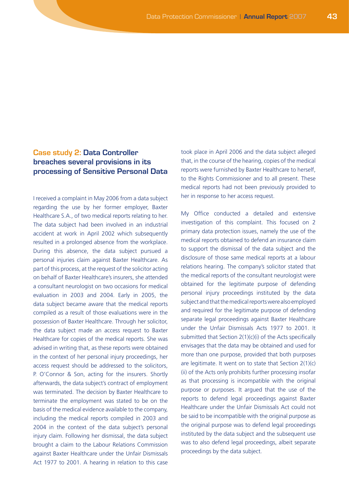# **Case study 2: Data Controller breaches several provisions in its processing of Sensitive Personal Data**

I received a complaint in May 2006 from a data subject regarding the use by her former employer, Baxter Healthcare S.A., of two medical reports relating to her. The data subject had been involved in an industrial accident at work in April 2002 which subsequently resulted in a prolonged absence from the workplace. During this absence, the data subject pursued a personal injuries claim against Baxter Healthcare. As part of this process, at the request of the solicitor acting on behalf of Baxter Healthcare's insurers, she attended a consultant neurologist on two occasions for medical evaluation in 2003 and 2004. Early in 2005, the data subject became aware that the medical reports compiled as a result of those evaluations were in the possession of Baxter Healthcare. Through her solicitor, the data subject made an access request to Baxter Healthcare for copies of the medical reports. She was advised in writing that, as these reports were obtained in the context of her personal injury proceedings, her access request should be addressed to the solicitors, P. O'Connor & Son, acting for the insurers. Shortly afterwards, the data subject's contract of employment was terminated. The decision by Baxter Healthcare to terminate the employment was stated to be on the basis of the medical evidence available to the company, including the medical reports compiled in 2003 and 2004 in the context of the data subject's personal injury claim. Following her dismissal, the data subject brought a claim to the Labour Relations Commission against Baxter Healthcare under the Unfair Dismissals Act 1977 to 2001. A hearing in relation to this case

took place in April 2006 and the data subject alleged that, in the course of the hearing, copies of the medical reports were furnished by Baxter Healthcare to herself, to the Rights Commissioner and to all present. These medical reports had not been previously provided to her in response to her access request.

My Office conducted a detailed and extensive investigation of this complaint. This focused on 2 primary data protection issues, namely the use of the medical reports obtained to defend an insurance claim to support the dismissal of the data subject and the disclosure of those same medical reports at a labour relations hearing. The company's solicitor stated that the medical reports of the consultant neurologist were obtained for the legitimate purpose of defending personal injury proceedings instituted by the data subject and that the medical reports were also employed and required for the legitimate purpose of defending separate legal proceedings against Baxter Healthcare under the Unfair Dismissals Acts 1977 to 2001. It submitted that Section 2(1)(c)(i) of the Acts specifically envisages that the data may be obtained and used for more than one purpose, provided that both purposes are legitimate. It went on to state that Section  $2(1)(c)$ (ii) of the Acts only prohibits further processing insofar as that processing is incompatible with the original purpose or purposes. It argued that the use of the reports to defend legal proceedings against Baxter Healthcare under the Unfair Dismissals Act could not be said to be incompatible with the original purpose as the original purpose was to defend legal proceedings instituted by the data subject and the subsequent use was to also defend legal proceedings, albeit separate proceedings by the data subject.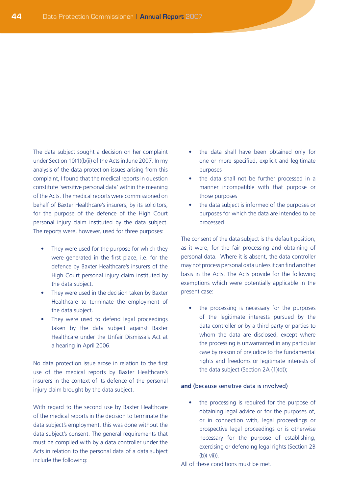The data subject sought a decision on her complaint under Section 10(1)(b(ii) of the Acts in June 2007. In my analysis of the data protection issues arising from this complaint, I found that the medical reports in question constitute 'sensitive personal data' within the meaning of the Acts. The medical reports were commissioned on behalf of Baxter Healthcare's insurers, by its solicitors, for the purpose of the defence of the High Court personal injury claim instituted by the data subject. The reports were, however, used for three purposes:

- They were used for the purpose for which they were generated in the first place, i.e. for the defence by Baxter Healthcare's insurers of the High Court personal injury claim instituted by the data subject.
- They were used in the decision taken by Baxter Healthcare to terminate the employment of the data subject.
- They were used to defend legal proceedings taken by the data subject against Baxter Healthcare under the Unfair Dismissals Act at a hearing in April 2006.

No data protection issue arose in relation to the first use of the medical reports by Baxter Healthcare's insurers in the context of its defence of the personal injury claim brought by the data subject.

With regard to the second use by Baxter Healthcare of the medical reports in the decision to terminate the data subject's employment, this was done without the data subject's consent. The general requirements that must be complied with by a data controller under the Acts in relation to the personal data of a data subject include the following:

- the data shall have been obtained only for one or more specified, explicit and legitimate purposes
- the data shall not be further processed in a manner incompatible with that purpose or those purposes
- the data subject is informed of the purposes or purposes for which the data are intended to be processed

The consent of the data subject is the default position, as it were, for the fair processing and obtaining of personal data. Where it is absent, the data controller may not process personal data unless it can find another basis in the Acts. The Acts provide for the following exemptions which were potentially applicable in the present case:

the processing is necessary for the purposes of the legitimate interests pursued by the data controller or by a third party or parties to whom the data are disclosed, except where the processing is unwarranted in any particular case by reason of prejudice to the fundamental rights and freedoms or legitimate interests of the data subject (Section 2A (1)(d));

#### **and** (because sensitive data is involved)

the processing is required for the purpose of obtaining legal advice or for the purposes of, or in connection with, legal proceedings or prospective legal proceedings or is otherwise necessary for the purpose of establishing, exercising or defending legal rights (Section 2B (b)( vii)).

All of these conditions must be met.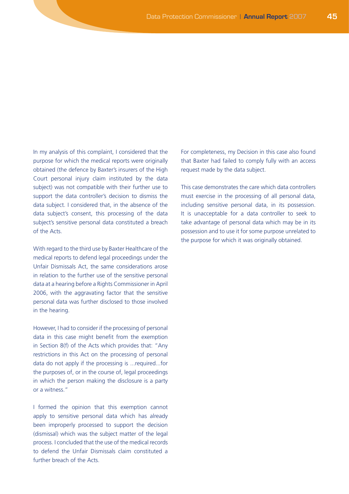In my analysis of this complaint, I considered that the purpose for which the medical reports were originally obtained (the defence by Baxter's insurers of the High Court personal injury claim instituted by the data subject) was not compatible with their further use to support the data controller's decision to dismiss the data subject. I considered that, in the absence of the data subject's consent, this processing of the data subject's sensitive personal data constituted a breach of the Acts.

With regard to the third use by Baxter Healthcare of the medical reports to defend legal proceedings under the Unfair Dismissals Act, the same considerations arose in relation to the further use of the sensitive personal data at a hearing before a Rights Commissioner in April 2006, with the aggravating factor that the sensitive personal data was further disclosed to those involved in the hearing.

However, I had to consider if the processing of personal data in this case might benefit from the exemption in Section 8(f) of the Acts which provides that: "Any restrictions in this Act on the processing of personal data do not apply if the processing is ...required...for the purposes of, or in the course of, legal proceedings in which the person making the disclosure is a party or a witness."

I formed the opinion that this exemption cannot apply to sensitive personal data which has already been improperly processed to support the decision (dismissal) which was the subject matter of the legal process. I concluded that the use of the medical records to defend the Unfair Dismissals claim constituted a further breach of the Acts.

For completeness, my Decision in this case also found that Baxter had failed to comply fully with an access request made by the data subject.

This case demonstrates the care which data controllers must exercise in the processing of all personal data, including sensitive personal data, in its possession. It is unacceptable for a data controller to seek to take advantage of personal data which may be in its possession and to use it for some purpose unrelated to the purpose for which it was originally obtained.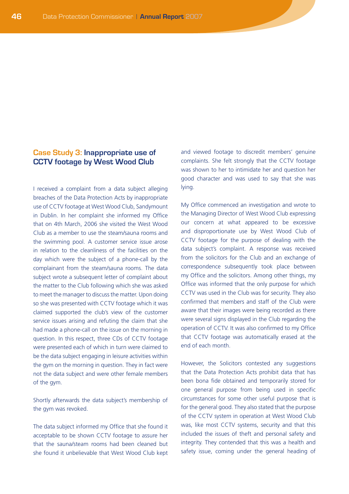## **Case Study 3: Inappropriate use of CCTV footage by West Wood Club**

I received a complaint from a data subject alleging breaches of the Data Protection Acts by inappropriate use of CCTV footage at West Wood Club, Sandymount in Dublin. In her complaint she informed my Office that on 4th March, 2006 she visited the West Wood Club as a member to use the steam/sauna rooms and the swimming pool. A customer service issue arose in relation to the cleanliness of the facilities on the day which were the subject of a phone-call by the complainant from the steam/sauna rooms. The data subject wrote a subsequent letter of complaint about the matter to the Club following which she was asked to meet the manager to discuss the matter. Upon doing so she was presented with CCTV footage which it was claimed supported the club's view of the customer service issues arising and refuting the claim that she had made a phone-call on the issue on the morning in question. In this respect, three CDs of CCTV footage were presented each of which in turn were claimed to be the data subject engaging in leisure activities within the gym on the morning in question. They in fact were not the data subject and were other female members of the gym.

Shortly afterwards the data subject's membership of the gym was revoked.

The data subject informed my Office that she found it acceptable to be shown CCTV footage to assure her that the sauna/steam rooms had been cleaned but she found it unbelievable that West Wood Club kept

and viewed footage to discredit members' genuine complaints. She felt strongly that the CCTV footage was shown to her to intimidate her and question her good character and was used to say that she was lying.

My Office commenced an investigation and wrote to the Managing Director of West Wood Club expressing our concern at what appeared to be excessive and disproportionate use by West Wood Club of CCTV footage for the purpose of dealing with the data subject's complaint. A response was received from the solicitors for the Club and an exchange of correspondence subsequently took place between my Office and the solicitors. Among other things, my Office was informed that the only purpose for which CCTV was used in the Club was for security. They also confirmed that members and staff of the Club were aware that their images were being recorded as there were several signs displayed in the Club regarding the operation of CCTV. It was also confirmed to my Office that CCTV footage was automatically erased at the end of each month.

However, the Solicitors contested any suggestions that the Data Protection Acts prohibit data that has been bona fide obtained and temporarily stored for one general purpose from being used in specific circumstances for some other useful purpose that is for the general good. They also stated that the purpose of the CCTV system in operation at West Wood Club was, like most CCTV systems, security and that this included the issues of theft and personal safety and integrity. They contended that this was a health and safety issue, coming under the general heading of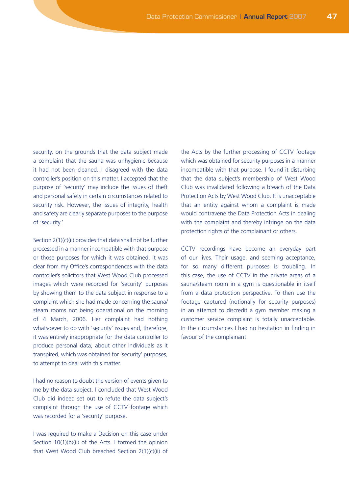security, on the grounds that the data subject made a complaint that the sauna was unhygienic because it had not been cleaned. I disagreed with the data controller's position on this matter. I accepted that the purpose of 'security' may include the issues of theft and personal safety in certain circumstances related to security risk. However, the issues of integrity, health and safety are clearly separate purposes to the purpose of 'security.'

Section 2(1)(c)(ii) provides that data shall not be further processed in a manner incompatible with that purpose or those purposes for which it was obtained. It was clear from my Office's correspondences with the data controller's solicitors that West Wood Club processed images which were recorded for 'security' purposes by showing them to the data subject in response to a complaint which she had made concerning the sauna/ steam rooms not being operational on the morning of 4 March, 2006. Her complaint had nothing whatsoever to do with 'security' issues and, therefore, it was entirely inappropriate for the data controller to produce personal data, about other individuals as it transpired, which was obtained for 'security' purposes, to attempt to deal with this matter.

I had no reason to doubt the version of events given to me by the data subject. I concluded that West Wood Club did indeed set out to refute the data subject's complaint through the use of CCTV footage which was recorded for a 'security' purpose.

I was required to make a Decision on this case under Section 10(1)(b)(ii) of the Acts. I formed the opinion that West Wood Club breached Section 2(1)(c)(ii) of the Acts by the further processing of CCTV footage which was obtained for security purposes in a manner incompatible with that purpose. I found it disturbing that the data subject's membership of West Wood Club was invalidated following a breach of the Data Protection Acts by West Wood Club. It is unacceptable that an entity against whom a complaint is made would contravene the Data Protection Acts in dealing with the complaint and thereby infringe on the data protection rights of the complainant or others.

CCTV recordings have become an everyday part of our lives. Their usage, and seeming acceptance, for so many different purposes is troubling. In this case, the use of CCTV in the private areas of a sauna/steam room in a gym is questionable in itself from a data protection perspective. To then use the footage captured (notionally for security purposes) in an attempt to discredit a gym member making a customer service complaint is totally unacceptable. In the circumstances I had no hesitation in finding in favour of the complainant.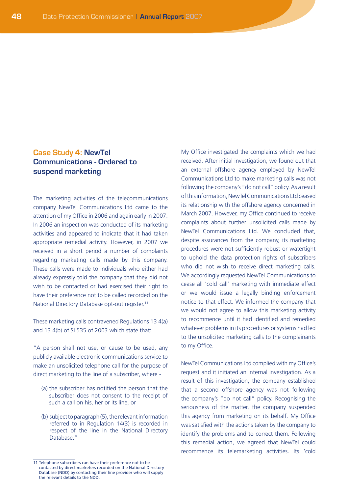# **Case Study 4: NewTel Communications - Ordered to suspend marketing**

The marketing activities of the telecommunications company NewTel Communications Ltd came to the attention of my Office in 2006 and again early in 2007. In 2006 an inspection was conducted of its marketing activities and appeared to indicate that it had taken appropriate remedial activity. However, in 2007 we received in a short period a number of complaints regarding marketing calls made by this company. These calls were made to individuals who either had already expressly told the company that they did not wish to be contacted or had exercised their right to have their preference not to be called recorded on the National Directory Database opt-out register.11

These marketing calls contravened Regulations 13 4(a) and 13 4(b) of SI 535 of 2003 which state that:

"A person shall not use, or cause to be used, any publicly available electronic communications service to make an unsolicited telephone call for the purpose of direct marketing to the line of a subscriber, where -

- (a) the subscriber has notified the person that the subscriber does not consent to the receipt of such a call on his, her or its line, or
- (b) subject to paragraph (5), the relevant information referred to in Regulation 14(3) is recorded in respect of the line in the National Directory Database."

My Office investigated the complaints which we had received. After initial investigation, we found out that an external offshore agency employed by NewTel Communications Ltd to make marketing calls was not following the company's "do not call" policy. As a result of this information, NewTel Communications Ltd ceased its relationship with the offshore agency concerned in March 2007. However, my Office continued to receive complaints about further unsolicited calls made by NewTel Communications Ltd. We concluded that, despite assurances from the company, its marketing procedures were not sufficiently robust or watertight to uphold the data protection rights of subscribers who did not wish to receive direct marketing calls. We accordingly requested NewTel Communications to cease all 'cold call' marketing with immediate effect or we would issue a legally binding enforcement notice to that effect. We informed the company that we would not agree to allow this marketing activity to recommence until it had identified and remedied whatever problems in its procedures or systems had led to the unsolicited marketing calls to the complainants to my Office.

NewTel Communications Ltd complied with my Office's request and it initiated an internal investigation. As a result of this investigation, the company established that a second offshore agency was not following the company's "do not call" policy. Recognising the seriousness of the matter, the company suspended this agency from marketing on its behalf. My Office was satisfied with the actions taken by the company to identify the problems and to correct them. Following this remedial action, we agreed that NewTel could recommence its telemarketing activities. Its 'cold

<sup>11</sup> Telephone subscribers can have their preference not to be contacted by direct marketers recorded on the National Directory Database (NDD) by contacting their line provider who will supply the relevant details to the NDD.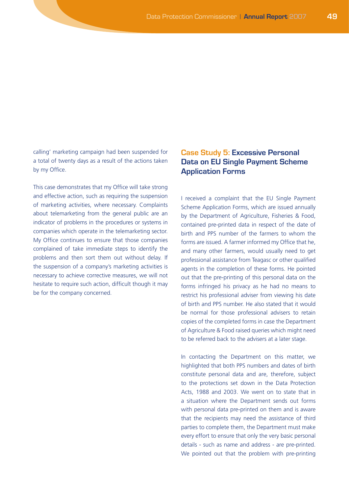calling' marketing campaign had been suspended for a total of twenty days as a result of the actions taken by my Office.

This case demonstrates that my Office will take strong and effective action, such as requiring the suspension of marketing activities, where necessary. Complaints about telemarketing from the general public are an indicator of problems in the procedures or systems in companies which operate in the telemarketing sector. My Office continues to ensure that those companies complained of take immediate steps to identify the problems and then sort them out without delay. If the suspension of a company's marketing activities is necessary to achieve corrective measures, we will not hesitate to require such action, difficult though it may be for the company concerned.

## **Case Study 5: Excessive Personal Data on EU Single Payment Scheme Application Forms**

I received a complaint that the EU Single Payment Scheme Application Forms, which are issued annually by the Department of Agriculture, Fisheries & Food, contained pre-printed data in respect of the date of birth and PPS number of the farmers to whom the forms are issued. A farmer informed my Office that he, and many other farmers, would usually need to get professional assistance from Teagasc or other qualified agents in the completion of these forms. He pointed out that the pre-printing of this personal data on the forms infringed his privacy as he had no means to restrict his professional adviser from viewing his date of birth and PPS number. He also stated that it would be normal for those professional advisers to retain copies of the completed forms in case the Department of Agriculture & Food raised queries which might need to be referred back to the advisers at a later stage.

In contacting the Department on this matter, we highlighted that both PPS numbers and dates of birth constitute personal data and are, therefore, subject to the protections set down in the Data Protection Acts, 1988 and 2003. We went on to state that in a situation where the Department sends out forms with personal data pre-printed on them and is aware that the recipients may need the assistance of third parties to complete them, the Department must make every effort to ensure that only the very basic personal details - such as name and address - are pre-printed. We pointed out that the problem with pre-printing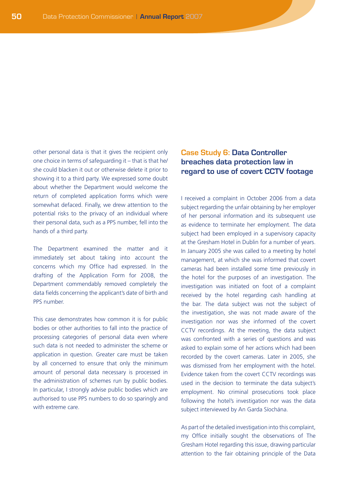other personal data is that it gives the recipient only one choice in terms of safeguarding it – that is that he/ she could blacken it out or otherwise delete it prior to showing it to a third party. We expressed some doubt about whether the Department would welcome the return of completed application forms which were somewhat defaced. Finally, we drew attention to the potential risks to the privacy of an individual where their personal data, such as a PPS number, fell into the hands of a third party.

The Department examined the matter and it immediately set about taking into account the concerns which my Office had expressed. In the drafting of the Application Form for 2008, the Department commendably removed completely the data fields concerning the applicant's date of birth and PPS number.

This case demonstrates how common it is for public bodies or other authorities to fall into the practice of processing categories of personal data even where such data is not needed to administer the scheme or application in question. Greater care must be taken by all concerned to ensure that only the minimum amount of personal data necessary is processed in the administration of schemes run by public bodies. In particular, I strongly advise public bodies which are authorised to use PPS numbers to do so sparingly and with extreme care.

## **Case Study 6: Data Controller breaches data protection law in regard to use of covert CCTV footage**

I received a complaint in October 2006 from a data subject regarding the unfair obtaining by her employer of her personal information and its subsequent use as evidence to terminate her employment. The data subject had been employed in a supervisory capacity at the Gresham Hotel in Dublin for a number of years. In January 2005 she was called to a meeting by hotel management, at which she was informed that covert cameras had been installed some time previously in the hotel for the purposes of an investigation. The investigation was initiated on foot of a complaint received by the hotel regarding cash handling at the bar. The data subject was not the subject of the investigation, she was not made aware of the investigation nor was she informed of the covert CCTV recordings. At the meeting, the data subject was confronted with a series of questions and was asked to explain some of her actions which had been recorded by the covert cameras. Later in 2005, she was dismissed from her employment with the hotel. Evidence taken from the covert CCTV recordings was used in the decision to terminate the data subject's employment. No criminal prosecutions took place following the hotel's investigation nor was the data subject interviewed by An Garda Síochána.

As part of the detailed investigation into this complaint, my Office initially sought the observations of The Gresham Hotel regarding this issue, drawing particular attention to the fair obtaining principle of the Data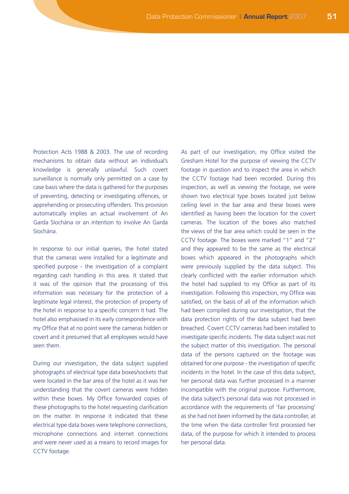Protection Acts 1988 & 2003. The use of recording mechanisms to obtain data without an individual's knowledge is generally unlawful. Such covert surveillance is normally only permitted on a case by case basis where the data is gathered for the purposes of preventing, detecting or investigating offences, or apprehending or prosecuting offenders. This provision automatically implies an actual involvement of An Garda Síochána or an intention to involve An Garda Síochána.

In response to our initial queries, the hotel stated that the cameras were installed for a legitimate and specified purpose - the investigation of a complaint regarding cash handling in this area. It stated that it was of the opinion that the processing of this information was necessary for the protection of a legitimate legal interest, the protection of property of the hotel in response to a specific concern it had. The hotel also emphasised in its early correspondence with my Office that at no point were the cameras hidden or covert and it presumed that all employees would have seen them.

During our investigation, the data subject supplied photographs of electrical type data boxes/sockets that were located in the bar area of the hotel as it was her understanding that the covert cameras were hidden within these boxes. My Office forwarded copies of these photographs to the hotel requesting clarification on the matter. In response it indicated that these electrical type data boxes were telephone connections, microphone connections and internet connections and were never used as a means to record images for CCTV footage.

As part of our investigation, my Office visited the Gresham Hotel for the purpose of viewing the CCTV footage in question and to inspect the area in which the CCTV footage had been recorded. During this inspection, as well as viewing the footage, we were shown two electrical type boxes located just below ceiling level in the bar area and these boxes were identified as having been the location for the covert cameras. The location of the boxes also matched the views of the bar area which could be seen in the CCTV footage. The boxes were marked "1" and "2" and they appeared to be the same as the electrical boxes which appeared in the photographs which were previously supplied by the data subject. This clearly conflicted with the earlier information which the hotel had supplied to my Office as part of its investigation. Following this inspection, my Office was satisfied, on the basis of all of the information which had been compiled during our investigation, that the data protection rights of the data subject had been breached. Covert CCTV cameras had been installed to investigate specific incidents. The data subject was not the subject matter of this investigation. The personal data of the persons captured on the footage was obtained for one purpose - the investigation of specific incidents in the hotel. In the case of this data subject, her personal data was further processed in a manner incompatible with the original purpose. Furthermore, the data subject's personal data was not processed in accordance with the requirements of 'fair processing' as she had not been informed by the data controller, at the time when the data controller first processed her data, of the purpose for which it intended to process her personal data.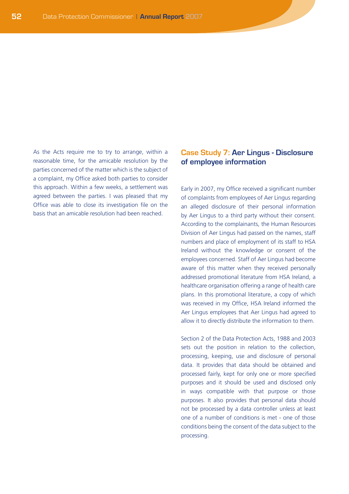As the Acts require me to try to arrange, within a reasonable time, for the amicable resolution by the parties concerned of the matter which is the subject of a complaint, my Office asked both parties to consider this approach. Within a few weeks, a settlement was agreed between the parties. I was pleased that my Office was able to close its investigation file on the basis that an amicable resolution had been reached.

## **Case Study 7: Aer Lingus - Disclosure of employee information**

Early in 2007, my Office received a significant number of complaints from employees of Aer Lingus regarding an alleged disclosure of their personal information by Aer Lingus to a third party without their consent. According to the complainants, the Human Resources Division of Aer Lingus had passed on the names, staff numbers and place of employment of its staff to HSA Ireland without the knowledge or consent of the employees concerned. Staff of Aer Lingus had become aware of this matter when they received personally addressed promotional literature from HSA Ireland, a healthcare organisation offering a range of health care plans. In this promotional literature, a copy of which was received in my Office, HSA Ireland informed the Aer Lingus employees that Aer Lingus had agreed to allow it to directly distribute the information to them.

Section 2 of the Data Protection Acts, 1988 and 2003 sets out the position in relation to the collection, processing, keeping, use and disclosure of personal data. It provides that data should be obtained and processed fairly, kept for only one or more specified purposes and it should be used and disclosed only in ways compatible with that purpose or those purposes. It also provides that personal data should not be processed by a data controller unless at least one of a number of conditions is met - one of those conditions being the consent of the data subject to the processing.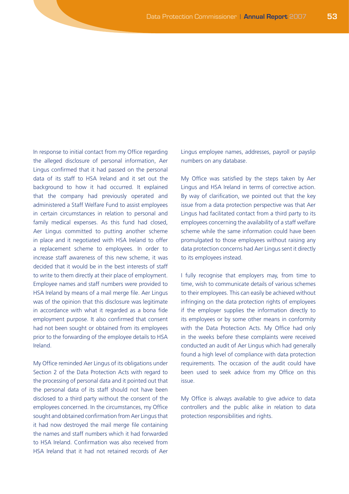In response to initial contact from my Office regarding the alleged disclosure of personal information, Aer Lingus confirmed that it had passed on the personal data of its staff to HSA Ireland and it set out the background to how it had occurred. It explained that the company had previously operated and administered a Staff Welfare Fund to assist employees in certain circumstances in relation to personal and family medical expenses. As this fund had closed, Aer Lingus committed to putting another scheme in place and it negotiated with HSA Ireland to offer a replacement scheme to employees. In order to increase staff awareness of this new scheme, it was decided that it would be in the best interests of staff to write to them directly at their place of employment. Employee names and staff numbers were provided to HSA Ireland by means of a mail merge file. Aer Lingus was of the opinion that this disclosure was legitimate in accordance with what it regarded as a bona fide employment purpose. It also confirmed that consent had not been sought or obtained from its employees prior to the forwarding of the employee details to HSA Ireland.

My Office reminded Aer Lingus of its obligations under Section 2 of the Data Protection Acts with regard to the processing of personal data and it pointed out that the personal data of its staff should not have been disclosed to a third party without the consent of the employees concerned. In the circumstances, my Office sought and obtained confirmation from Aer Lingus that it had now destroyed the mail merge file containing the names and staff numbers which it had forwarded to HSA Ireland. Confirmation was also received from HSA Ireland that it had not retained records of Aer Lingus employee names, addresses, payroll or payslip numbers on any database.

My Office was satisfied by the steps taken by Aer Lingus and HSA Ireland in terms of corrective action. By way of clarification, we pointed out that the key issue from a data protection perspective was that Aer Lingus had facilitated contact from a third party to its employees concerning the availability of a staff welfare scheme while the same information could have been promulgated to those employees without raising any data protection concerns had Aer Lingus sent it directly to its employees instead.

I fully recognise that employers may, from time to time, wish to communicate details of various schemes to their employees. This can easily be achieved without infringing on the data protection rights of employees if the employer supplies the information directly to its employees or by some other means in conformity with the Data Protection Acts. My Office had only in the weeks before these complaints were received conducted an audit of Aer Lingus which had generally found a high level of compliance with data protection requirements. The occasion of the audit could have been used to seek advice from my Office on this issue.

My Office is always available to give advice to data controllers and the public alike in relation to data protection responsibilities and rights.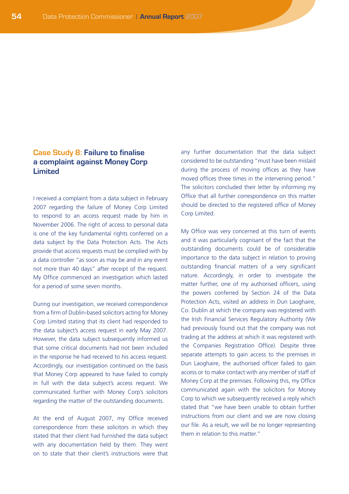## **Case Study 8: Failure to finalise a complaint against Money Corp Limited**

I received a complaint from a data subject in February 2007 regarding the failure of Money Corp Limited to respond to an access request made by him in November 2006. The right of access to personal data is one of the key fundamental rights conferred on a data subject by the Data Protection Acts. The Acts provide that access requests must be complied with by a data controller "as soon as may be and in any event not more than 40 days" after receipt of the request. My Office commenced an investigation which lasted for a period of some seven months.

During our investigation, we received correspondence from a firm of Dublin-based solicitors acting for Money Corp Limited stating that its client had responded to the data subject's access request in early May 2007. However, the data subject subsequently informed us that some critical documents had not been included in the response he had received to his access request. Accordingly, our investigation continued on the basis that Money Corp appeared to have failed to comply in full with the data subject's access request. We communicated further with Money Corp's solicitors regarding the matter of the outstanding documents.

At the end of August 2007, my Office received correspondence from these solicitors in which they stated that their client had furnished the data subject with any documentation held by them. They went on to state that their client's instructions were that any further documentation that the data subject considered to be outstanding "must have been mislaid during the process of moving offices as they have moved offices three times in the intervening period." The solicitors concluded their letter by informing my Office that all further correspondence on this matter should be directed to the registered office of Money Corp Limited.

My Office was very concerned at this turn of events and it was particularly cognisant of the fact that the outstanding documents could be of considerable importance to the data subject in relation to proving outstanding financial matters of a very significant nature. Accordingly, in order to investigate the matter further, one of my authorised officers, using the powers conferred by Section 24 of the Data Protection Acts, visited an address in Dun Laoghaire, Co. Dublin at which the company was registered with the Irish Financial Services Regulatory Authority (We had previously found out that the company was not trading at the address at which it was registered with the Companies Registration Office). Despite three separate attempts to gain access to the premises in Dun Laoghaire, the authorised officer failed to gain access or to make contact with any member of staff of Money Corp at the premises. Following this, my Office communicated again with the solicitors for Money Corp to which we subsequently received a reply which stated that "we have been unable to obtain further instructions from our client and we are now closing our file. As a result, we will be no longer representing them in relation to this matter."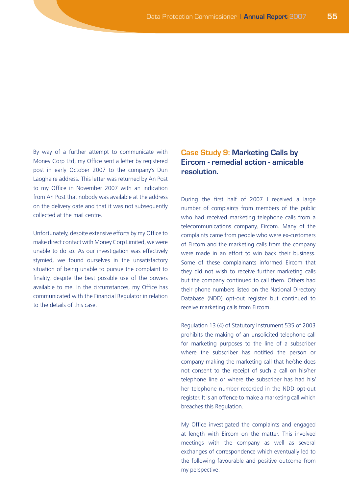By way of a further attempt to communicate with Money Corp Ltd, my Office sent a letter by registered post in early October 2007 to the company's Dun Laoghaire address. This letter was returned by An Post to my Office in November 2007 with an indication from An Post that nobody was available at the address on the delivery date and that it was not subsequently collected at the mail centre.

Unfortunately, despite extensive efforts by my Office to make direct contact with Money Corp Limited, we were unable to do so. As our investigation was effectively stymied, we found ourselves in the unsatisfactory situation of being unable to pursue the complaint to finality, despite the best possible use of the powers available to me. In the circumstances, my Office has communicated with the Financial Regulator in relation to the details of this case.

## **Case Study 9: Marketing Calls by Eircom - remedial action - amicable resolution.**

During the first half of 2007 I received a large number of complaints from members of the public who had received marketing telephone calls from a telecommunications company, Eircom. Many of the complaints came from people who were ex-customers of Eircom and the marketing calls from the company were made in an effort to win back their business. Some of these complainants informed Eircom that they did not wish to receive further marketing calls but the company continued to call them. Others had their phone numbers listed on the National Directory Database (NDD) opt-out register but continued to receive marketing calls from Eircom.

Regulation 13 (4) of Statutory Instrument 535 of 2003 prohibits the making of an unsolicited telephone call for marketing purposes to the line of a subscriber where the subscriber has notified the person or company making the marketing call that he/she does not consent to the receipt of such a call on his/her telephone line or where the subscriber has had his/ her telephone number recorded in the NDD opt-out register. It is an offence to make a marketing call which breaches this Regulation.

My Office investigated the complaints and engaged at length with Eircom on the matter. This involved meetings with the company as well as several exchanges of correspondence which eventually led to the following favourable and positive outcome from my perspective: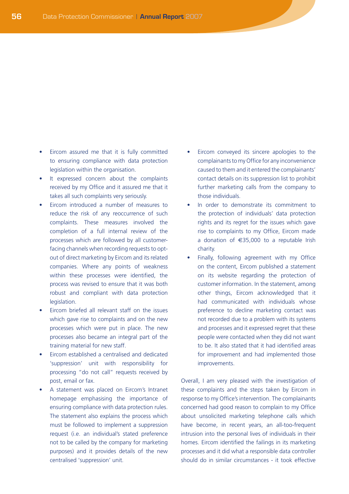- • Eircom assured me that it is fully committed to ensuring compliance with data protection legislation within the organisation.
- It expressed concern about the complaints received by my Office and it assured me that it takes all such complaints very seriously.
- Eircom introduced a number of measures to reduce the risk of any reoccurrence of such complaints. These measures involved the completion of a full internal review of the processes which are followed by all customerfacing channels when recording requests to optout of direct marketing by Eircom and its related companies. Where any points of weakness within these processes were identified, the process was revised to ensure that it was both robust and compliant with data protection legislation.
- Eircom briefed all relevant staff on the issues which gave rise to complaints and on the new processes which were put in place. The new processes also became an integral part of the training material for new staff.
- Eircom established a centralised and dedicated 'suppression' unit with responsibility for processing "do not call" requests received by post, email or fax.
- A statement was placed on Eircom's Intranet homepage emphasising the importance of ensuring compliance with data protection rules. The statement also explains the process which must be followed to implement a suppression request (i.e. an individual's stated preference not to be called by the company for marketing purposes) and it provides details of the new centralised 'suppression' unit.
- Eircom conveyed its sincere apologies to the complainants to my Office for any inconvenience caused to them and it entered the complainants' contact details on its suppression list to prohibit further marketing calls from the company to those individuals.
- In order to demonstrate its commitment to the protection of individuals' data protection rights and its regret for the issues which gave rise to complaints to my Office, Eircom made a donation of €35,000 to a reputable Irish charity.
- Finally, following agreement with my Office on the content, Eircom published a statement on its website regarding the protection of customer information. In the statement, among other things, Eircom acknowledged that it had communicated with individuals whose preference to decline marketing contact was not recorded due to a problem with its systems and processes and it expressed regret that these people were contacted when they did not want to be. It also stated that it had identified areas for improvement and had implemented those improvements.

Overall, I am very pleased with the investigation of these complaints and the steps taken by Eircom in response to my Office's intervention. The complainants concerned had good reason to complain to my Office about unsolicited marketing telephone calls which have become, in recent years, an all-too-frequent intrusion into the personal lives of individuals in their homes. Eircom identified the failings in its marketing processes and it did what a responsible data controller should do in similar circumstances - it took effective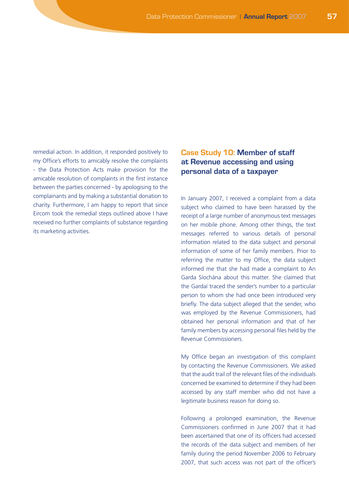remedial action. In addition, it responded positively to my Office's efforts to amicably resolve the complaints - the Data Protection Acts make provision for the amicable resolution of complaints in the first instance between the parties concerned - by apologising to the complainants and by making a substantial donation to charity. Furthermore, I am happy to report that since Eircom took the remedial steps outlined above I have received no further complaints of substance regarding its marketing activities.

## **Case Study 10: Member of staff at Revenue accessing and using personal data of a taxpayer**

In January 2007, I received a complaint from a data subject who claimed to have been harassed by the receipt of a large number of anonymous text messages on her mobile phone. Among other things, the text messages referred to various details of personal information related to the data subject and personal information of some of her family members. Prior to referring the matter to my Office, the data subject informed me that she had made a complaint to An Garda Síochána about this matter. She claimed that the Gardaí traced the sender's number to a particular person to whom she had once been introduced very briefly. The data subject alleged that the sender, who was employed by the Revenue Commissioners, had obtained her personal information and that of her family members by accessing personal files held by the Revenue Commissioners.

My Office began an investigation of this complaint by contacting the Revenue Commissioners. We asked that the audit trail of the relevant files of the individuals concerned be examined to determine if they had been accessed by any staff member who did not have a legitimate business reason for doing so.

Following a prolonged examination, the Revenue Commissioners confirmed in June 2007 that it had been ascertained that one of its officers had accessed the records of the data subject and members of her family during the period November 2006 to February 2007, that such access was not part of the officer's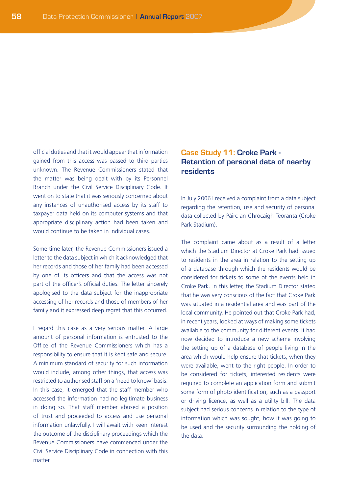official duties and that it would appear that information gained from this access was passed to third parties unknown. The Revenue Commissioners stated that the matter was being dealt with by its Personnel Branch under the Civil Service Disciplinary Code. It went on to state that it was seriously concerned about any instances of unauthorised access by its staff to taxpayer data held on its computer systems and that appropriate disciplinary action had been taken and would continue to be taken in individual cases.

Some time later, the Revenue Commissioners issued a letter to the data subject in which it acknowledged that her records and those of her family had been accessed by one of its officers and that the access was not part of the officer's official duties. The letter sincerely apologised to the data subject for the inappropriate accessing of her records and those of members of her family and it expressed deep regret that this occurred.

I regard this case as a very serious matter. A large amount of personal information is entrusted to the Office of the Revenue Commissioners which has a responsibility to ensure that it is kept safe and secure. A minimum standard of security for such information would include, among other things, that access was restricted to authorised staff on a 'need to know' basis. In this case, it emerged that the staff member who accessed the information had no legitimate business in doing so. That staff member abused a position of trust and proceeded to access and use personal information unlawfully. I will await with keen interest the outcome of the disciplinary proceedings which the Revenue Commissioners have commenced under the Civil Service Disciplinary Code in connection with this matter.

## **Case Study 11: Croke Park - Retention of personal data of nearby residents**

In July 2006 I received a complaint from a data subject regarding the retention, use and security of personal data collected by Páirc an Chrócaigh Teoranta (Croke Park Stadium).

The complaint came about as a result of a letter which the Stadium Director at Croke Park had issued to residents in the area in relation to the setting up of a database through which the residents would be considered for tickets to some of the events held in Croke Park. In this letter, the Stadium Director stated that he was very conscious of the fact that Croke Park was situated in a residential area and was part of the local community. He pointed out that Croke Park had, in recent years, looked at ways of making some tickets available to the community for different events. It had now decided to introduce a new scheme involving the setting up of a database of people living in the area which would help ensure that tickets, when they were available, went to the right people. In order to be considered for tickets, interested residents were required to complete an application form and submit some form of photo identification, such as a passport or driving licence, as well as a utility bill. The data subject had serious concerns in relation to the type of information which was sought, how it was going to be used and the security surrounding the holding of the data.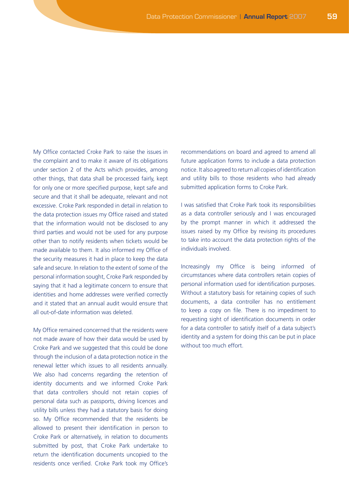My Office contacted Croke Park to raise the issues in the complaint and to make it aware of its obligations under section 2 of the Acts which provides, among other things, that data shall be processed fairly, kept for only one or more specified purpose, kept safe and secure and that it shall be adequate, relevant and not excessive. Croke Park responded in detail in relation to the data protection issues my Office raised and stated that the information would not be disclosed to any third parties and would not be used for any purpose other than to notify residents when tickets would be made available to them. It also informed my Office of the security measures it had in place to keep the data safe and secure. In relation to the extent of some of the personal information sought, Croke Park responded by saying that it had a legitimate concern to ensure that identities and home addresses were verified correctly and it stated that an annual audit would ensure that all out-of-date information was deleted.

My Office remained concerned that the residents were not made aware of how their data would be used by Croke Park and we suggested that this could be done through the inclusion of a data protection notice in the renewal letter which issues to all residents annually. We also had concerns regarding the retention of identity documents and we informed Croke Park that data controllers should not retain copies of personal data such as passports, driving licences and utility bills unless they had a statutory basis for doing so. My Office recommended that the residents be allowed to present their identification in person to Croke Park or alternatively, in relation to documents submitted by post, that Croke Park undertake to return the identification documents uncopied to the residents once verified. Croke Park took my Office's recommendations on board and agreed to amend all future application forms to include a data protection notice. It also agreed to return all copies of identification and utility bills to those residents who had already submitted application forms to Croke Park.

I was satisfied that Croke Park took its responsibilities as a data controller seriously and I was encouraged by the prompt manner in which it addressed the issues raised by my Office by revising its procedures to take into account the data protection rights of the individuals involved.

Increasingly my Office is being informed of circumstances where data controllers retain copies of personal information used for identification purposes. Without a statutory basis for retaining copies of such documents, a data controller has no entitlement to keep a copy on file. There is no impediment to requesting sight of identification documents in order for a data controller to satisfy itself of a data subject's identity and a system for doing this can be put in place without too much effort.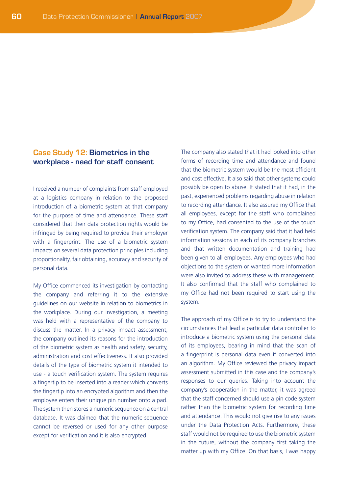### **Case Study 12: Biometrics in the workplace - need for staff consent**

I received a number of complaints from staff employed at a logistics company in relation to the proposed introduction of a biometric system at that company for the purpose of time and attendance. These staff considered that their data protection rights would be infringed by being required to provide their employer with a fingerprint. The use of a biometric system impacts on several data protection principles including proportionality, fair obtaining, accuracy and security of personal data.

My Office commenced its investigation by contacting the company and referring it to the extensive guidelines on our website in relation to biometrics in the workplace. During our investigation, a meeting was held with a representative of the company to discuss the matter. In a privacy impact assessment, the company outlined its reasons for the introduction of the biometric system as health and safety, security, administration and cost effectiveness. It also provided details of the type of biometric system it intended to use - a touch verification system. The system requires a fingertip to be inserted into a reader which converts the fingertip into an encrypted algorithm and then the employee enters their unique pin number onto a pad. The system then stores a numeric sequence on a central database. It was claimed that the numeric sequence cannot be reversed or used for any other purpose except for verification and it is also encrypted.

The company also stated that it had looked into other forms of recording time and attendance and found that the biometric system would be the most efficient and cost effective. It also said that other systems could possibly be open to abuse. It stated that it had, in the past, experienced problems regarding abuse in relation to recording attendance. It also assured my Office that all employees, except for the staff who complained to my Office, had consented to the use of the touch verification system. The company said that it had held information sessions in each of its company branches and that written documentation and training had been given to all employees. Any employees who had objections to the system or wanted more information were also invited to address these with management. It also confirmed that the staff who complained to my Office had not been required to start using the system.

The approach of my Office is to try to understand the circumstances that lead a particular data controller to introduce a biometric system using the personal data of its employees, bearing in mind that the scan of a fingerprint is personal data even if converted into an algorithm. My Office reviewed the privacy impact assessment submitted in this case and the company's responses to our queries. Taking into account the company's cooperation in the matter, it was agreed that the staff concerned should use a pin code system rather than the biometric system for recording time and attendance. This would not give rise to any issues under the Data Protection Acts. Furthermore, these staff would not be required to use the biometric system in the future, without the company first taking the matter up with my Office. On that basis, I was happy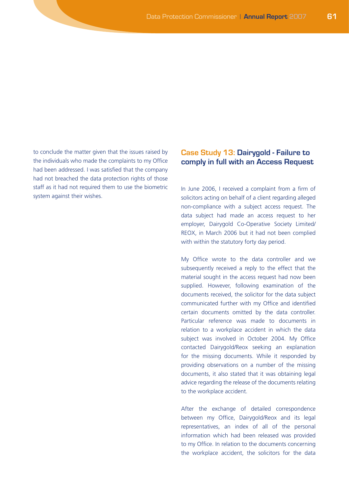to conclude the matter given that the issues raised by the individuals who made the complaints to my Office had been addressed. I was satisfied that the company had not breached the data protection rights of those staff as it had not required them to use the biometric system against their wishes.

## **Case Study 13: Dairygold - Failure to comply in full with an Access Request**

In June 2006, I received a complaint from a firm of solicitors acting on behalf of a client regarding alleged non-compliance with a subject access request. The data subject had made an access request to her employer, Dairygold Co-Operative Society Limited/ REOX, in March 2006 but it had not been complied with within the statutory forty day period.

My Office wrote to the data controller and we subsequently received a reply to the effect that the material sought in the access request had now been supplied. However, following examination of the documents received, the solicitor for the data subject communicated further with my Office and identified certain documents omitted by the data controller. Particular reference was made to documents in relation to a workplace accident in which the data subject was involved in October 2004. My Office contacted Dairygold/Reox seeking an explanation for the missing documents. While it responded by providing observations on a number of the missing documents, it also stated that it was obtaining legal advice regarding the release of the documents relating to the workplace accident.

After the exchange of detailed correspondence between my Office, Dairygold/Reox and its legal representatives, an index of all of the personal information which had been released was provided to my Office. In relation to the documents concerning the workplace accident, the solicitors for the data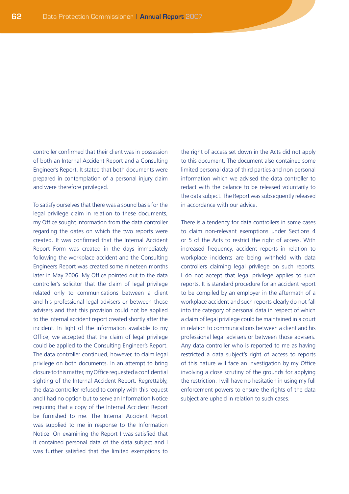controller confirmed that their client was in possession of both an Internal Accident Report and a Consulting Engineer's Report. It stated that both documents were prepared in contemplation of a personal injury claim and were therefore privileged.

To satisfy ourselves that there was a sound basis for the legal privilege claim in relation to these documents, my Office sought information from the data controller regarding the dates on which the two reports were created. It was confirmed that the Internal Accident Report Form was created in the days immediately following the workplace accident and the Consulting Engineers Report was created some nineteen months later in May 2006. My Office pointed out to the data controller's solicitor that the claim of legal privilege related only to communications between a client and his professional legal advisers or between those advisers and that this provision could not be applied to the internal accident report created shortly after the incident. In light of the information available to my Office, we accepted that the claim of legal privilege could be applied to the Consulting Engineer's Report. The data controller continued, however, to claim legal privilege on both documents. In an attempt to bring closure to this matter, my Office requested a confidential sighting of the Internal Accident Report. Regrettably, the data controller refused to comply with this request and I had no option but to serve an Information Notice requiring that a copy of the Internal Accident Report be furnished to me. The Internal Accident Report was supplied to me in response to the Information Notice. On examining the Report I was satisfied that it contained personal data of the data subject and I was further satisfied that the limited exemptions to the right of access set down in the Acts did not apply to this document. The document also contained some limited personal data of third parties and non personal information which we advised the data controller to redact with the balance to be released voluntarily to the data subject. The Report was subsequently released in accordance with our advice.

There is a tendency for data controllers in some cases to claim non-relevant exemptions under Sections 4 or 5 of the Acts to restrict the right of access. With increased frequency, accident reports in relation to workplace incidents are being withheld with data controllers claiming legal privilege on such reports. I do not accept that legal privilege applies to such reports. It is standard procedure for an accident report to be compiled by an employer in the aftermath of a workplace accident and such reports clearly do not fall into the category of personal data in respect of which a claim of legal privilege could be maintained in a court in relation to communications between a client and his professional legal advisers or between those advisers. Any data controller who is reported to me as having restricted a data subject's right of access to reports of this nature will face an investigation by my Office involving a close scrutiny of the grounds for applying the restriction. I will have no hesitation in using my full enforcement powers to ensure the rights of the data subject are upheld in relation to such cases.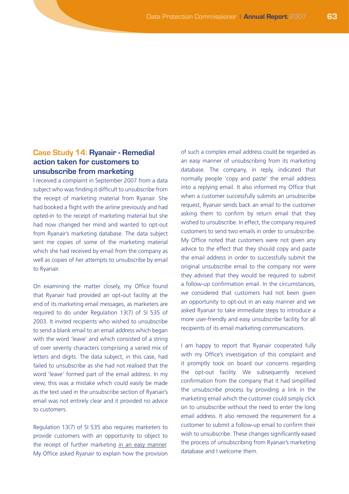### **Case Study 14: Ryanair - Remedial action taken for customers to unsubscribe from marketing**

I received a complaint in September 2007 from a data subject who was finding it difficult to unsubscribe from the receipt of marketing material from Ryanair. She had booked a flight with the airline previously and had opted-in to the receipt of marketing material but she had now changed her mind and wanted to opt-out from Ryanair's marketing database. The data subject sent me copies of some of the marketing material which she had received by email from the company as well as copies of her attempts to unsubscribe by email to Ryanair.

On examining the matter closely, my Office found that Ryanair had provided an opt-out facility at the end of its marketing email messages, as marketers are required to do under Regulation 13(7) of SI 535 of 2003. It invited recipients who wished to unsubscribe to send a blank email to an email address which began with the word 'leave' and which consisted of a string of over seventy characters comprising a varied mix of letters and digits. The data subject, in this case, had failed to unsubscribe as she had not realised that the word 'leave' formed part of the email address. In my view, this was a mistake which could easily be made as the text used in the unsubscribe section of Ryanair's email was not entirely clear and it provided no advice to customers.

Regulation 13(7) of SI 535 also requires marketers to provide customers with an opportunity to object to the receipt of further marketing in an easy manner. My Office asked Ryanair to explain how the provision of such a complex email address could be regarded as an easy manner of unsubscribing from its marketing database. The company, in reply, indicated that normally people 'copy and paste' the email address into a replying email. It also informed my Office that when a customer successfully submits an unsubscribe request, Ryanair sends back an email to the customer asking them to confirm by return email that they wished to unsubscribe. In effect, the company required customers to send two emails in order to unsubscribe. My Office noted that customers were not given any advice to the effect that they should copy and paste the email address in order to successfully submit the original unsubscribe email to the company nor were they advised that they would be required to submit a follow-up confirmation email. In the circumstances, we considered that customers had not been given an opportunity to opt-out in an easy manner and we asked Ryanair to take immediate steps to introduce a more user-friendly and easy unsubscribe facility for all recipients of its email marketing communications.

I am happy to report that Ryanair cooperated fully with my Office's investigation of this complaint and it promptly took on board our concerns regarding the opt-out facility. We subsequently received confirmation from the company that it had simplified the unsubscribe process by providing a link in the marketing email which the customer could simply click on to unsubscribe without the need to enter the long email address. It also removed the requirement for a customer to submit a follow-up email to confirm their wish to unsubscribe. These changes significantly eased the process of unsubscribing from Ryanair's marketing database and I welcome them.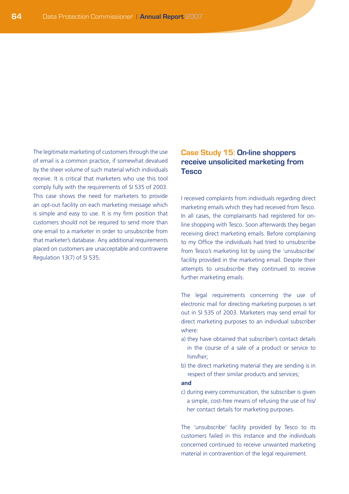The legitimate marketing of customers through the use of email is a common practice, if somewhat devalued by the sheer volume of such material which individuals receive. It is critical that marketers who use this tool comply fully with the requirements of SI 535 of 2003. This case shows the need for marketers to provide an opt-out facility on each marketing message which is simple and easy to use. It is my firm position that customers should not be required to send more than one email to a marketer in order to unsubscribe from that marketer's database. Any additional requirements placed on customers are unacceptable and contravene Regulation 13(7) of SI 535.

### **Case Study 15: On-line shoppers receive unsolicited marketing from Tesco**

I received complaints from individuals regarding direct marketing emails which they had received from Tesco. In all cases, the complainants had registered for online shopping with Tesco. Soon afterwards they began receiving direct marketing emails. Before complaining to my Office the individuals had tried to unsubscribe from Tesco's marketing list by using the 'unsubscribe' facility provided in the marketing email. Despite their attempts to unsubscribe they continued to receive further marketing emails.

The legal requirements concerning the use of electronic mail for directing marketing purposes is set out in SI 535 of 2003. Marketers may send email for direct marketing purposes to an individual subscriber where:

- a) they have obtained that subscriber's contact details in the course of a sale of a product or service to him/her;
- b) the direct marketing material they are sending is in respect of their similar products and services;

#### **and**

c) during every communication, the subscriber is given a simple, cost-free means of refusing the use of his/ her contact details for marketing purposes.

The 'unsubscribe' facility provided by Tesco to its customers failed in this instance and the individuals concerned continued to receive unwanted marketing material in contravention of the legal requirement.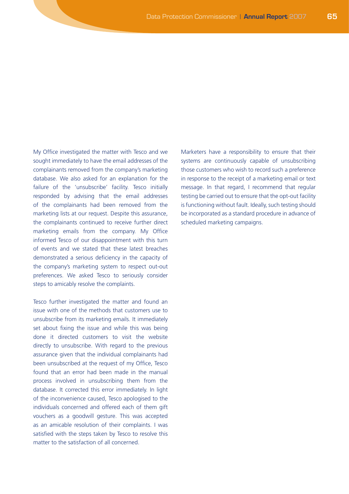My Office investigated the matter with Tesco and we sought immediately to have the email addresses of the complainants removed from the company's marketing database. We also asked for an explanation for the failure of the 'unsubscribe' facility. Tesco initially responded by advising that the email addresses of the complainants had been removed from the marketing lists at our request. Despite this assurance, the complainants continued to receive further direct marketing emails from the company. My Office informed Tesco of our disappointment with this turn of events and we stated that these latest breaches demonstrated a serious deficiency in the capacity of the company's marketing system to respect out-out preferences. We asked Tesco to seriously consider steps to amicably resolve the complaints.

Tesco further investigated the matter and found an issue with one of the methods that customers use to unsubscribe from its marketing emails. It immediately set about fixing the issue and while this was being done it directed customers to visit the website directly to unsubscribe. With regard to the previous assurance given that the individual complainants had been unsubscribed at the request of my Office, Tesco found that an error had been made in the manual process involved in unsubscribing them from the database. It corrected this error immediately. In light of the inconvenience caused, Tesco apologised to the individuals concerned and offered each of them gift vouchers as a goodwill gesture. This was accepted as an amicable resolution of their complaints. I was satisfied with the steps taken by Tesco to resolve this matter to the satisfaction of all concerned.

Marketers have a responsibility to ensure that their systems are continuously capable of unsubscribing those customers who wish to record such a preference in response to the receipt of a marketing email or text message. In that regard, I recommend that regular testing be carried out to ensure that the opt-out facility is functioning without fault. Ideally, such testing should be incorporated as a standard procedure in advance of scheduled marketing campaigns.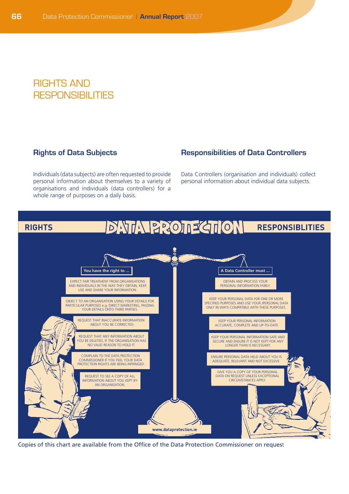# Rights and RESPONSIBILITIES

#### **Rights of Data Subjects**

Individuals (data subjects) are often requested to provide personal information about themselves to a variety of organisations and individuals (data controllers) for a whole range of purposes on a daily basis.

## **Responsibilities of Data Controllers**

Data Controllers (organisation and individuals) collect personal information about individual data subjects.



Copies of this chart are available from the Office of the Data Protection Commissioner on request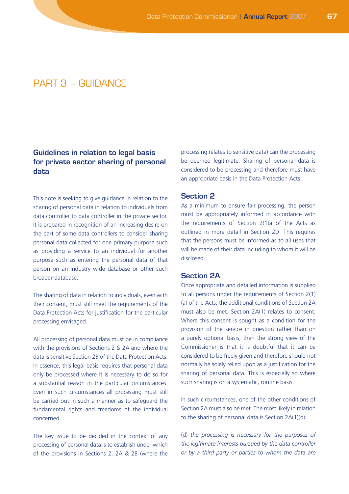# $PART 3 - GI IDANCF$

## **Guidelines in relation to legal basis for private sector sharing of personal data**

This note is seeking to give guidance in relation to the sharing of personal data in relation to individuals from data controller to data controller in the private sector. It is prepared in recognition of an increasing desire on the part of some data controllers to consider sharing personal data collected for one primary purpose such as providing a service to an individual for another purpose such as entering the personal data of that person on an industry wide database or other such broader database.

The sharing of data in relation to individuals, even with their consent, must still meet the requirements of the Data Protection Acts for justification for the particular processing envisaged.

All processing of personal data must be in compliance with the provisions of Sections 2 & 2A and where the data is sensitive Section 2B of the Data Protection Acts. In essence, this legal basis requires that personal data only be processed where it is necessary to do so for a substantial reason in the particular circumstances. Even in such circumstances all processing must still be carried out in such a manner as to safeguard the fundamental rights and freedoms of the individual concerned.

The key issue to be decided in the context of any processing of personal data is to establish under which of the provisions in Sections 2, 2A & 2B (where the processing relates to sensitive data) can the processing be deemed legitimate. Sharing of personal data is considered to be processing and therefore must have an appropriate basis in the Data Protection Acts.

#### **Section 2**

As a minimum to ensure fair processing, the person must be appropriately informed in accordance with the requirements of Section 2(1)a of the Acts as outlined in more detail in Section 2D. This requires that the persons must be informed as to all uses that will be made of their data including to whom it will be disclosed.

#### **Section 2A**

Once appropriate and detailed information is supplied to all persons under the requirements of Section 2(1) (a) of the Acts, the additional conditions of Section 2A must also be met. Section 2A(1) relates to consent. Where this consent is sought as a condition for the provision of the service in question rather than on a purely optional basis, then the strong view of the Commissioner is that it is doubtful that it can be considered to be freely given and therefore should not normally be solely relied upon as a justification for the sharing of personal data. This is especially so where such sharing is on a systematic, routine basis.

In such circumstances, one of the other conditions of Section 2A must also be met. The most likely in relation to the sharing of personal data is Section 2A(1)(d):

(d) *the processing is necessary for the purposes of the legitimate interests pursued by the data controller or by a third party or parties to whom the data are*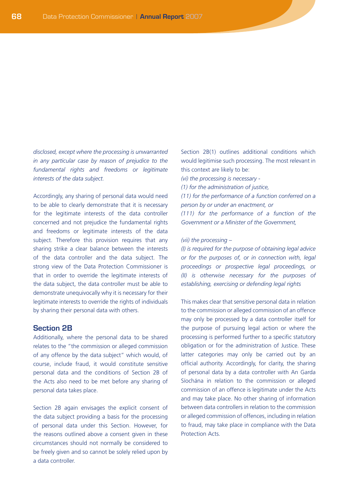*disclosed, except where the processing is unwarranted in any particular case by reason of prejudice to the fundamental rights and freedoms or legitimate interests of the data subject.*

Accordingly, any sharing of personal data would need to be able to clearly demonstrate that it is necessary for the legitimate interests of the data controller concerned and not prejudice the fundamental rights and freedoms or legitimate interests of the data subject. Therefore this provision requires that any sharing strike a clear balance between the interests of the data controller and the data subject. The strong view of the Data Protection Commissioner is that in order to override the legitimate interests of the data subject, the data controller must be able to demonstrate unequivocally why it is necessary for their legitimate interests to override the rights of individuals by sharing their personal data with others.

#### **Section 2B**

Additionally, where the personal data to be shared relates to the "the commission or alleged commission of any offence by the data subject" which would, of course, include fraud, it would constitute sensitive personal data and the conditions of Section 2B of the Acts also need to be met before any sharing of personal data takes place.

Section 2B again envisages the explicit consent of the data subject providing a basis for the processing of personal data under this Section. However, for the reasons outlined above a consent given in these circumstances should not normally be considered to be freely given and so cannot be solely relied upon by a data controller.

Section 2B(1) outlines additional conditions which would legitimise such processing. The most relevant in this context are likely to be:

- *(vi) the processing is necessary -*
- *(1) for the administration of justice,*

*(11) for the performance of a function conferred on a person by or under an enactment, or*

*(111) for the performance of a function of the Government or a Minister of the Government,*

#### *(vii) the processing –*

*(I) is required for the purpose of obtaining legal advice or for the purposes of, or in connection with, legal proceedings or prospective legal proceedings, or (II) is otherwise necessary for the purposes of establishing, exercising or defending legal rights*

This makes clear that sensitive personal data in relation to the commission or alleged commission of an offence may only be processed by a data controller itself for the purpose of pursuing legal action or where the processing is performed further to a specific statutory obligation or for the administration of Justice. These latter categories may only be carried out by an official authority. Accordingly, for clarity, the sharing of personal data by a data controller with An Garda Síochána in relation to the commission or alleged commission of an offence is legitimate under the Acts and may take place. No other sharing of information between data controllers in relation to the commission or alleged commission of offences, including in relation to fraud, may take place in compliance with the Data Protection Acts.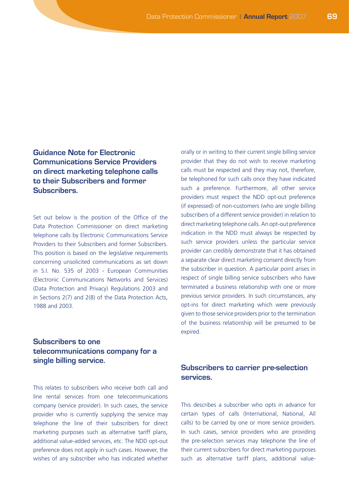# **Guidance Note for Electronic Communications Service Providers on direct marketing telephone calls to their Subscribers and former Subscribers.**

Set out below is the position of the Office of the Data Protection Commissioner on direct marketing telephone calls by Electronic Communications Service Providers to their Subscribers and former Subscribers. This position is based on the legislative requirements concerning unsolicited communications as set down in S.I. No. 535 of 2003 - European Communities (Electronic Communications Networks and Services) (Data Protection and Privacy) Regulations 2003 and in Sections 2(7) and 2(8) of the Data Protection Acts, 1988 and 2003.

# **Subscribers to one telecommunications company for a single billing service.**

This relates to subscribers who receive both call and line rental services from one telecommunications company (service provider). In such cases, the service provider who is currently supplying the service may telephone the line of their subscribers for direct marketing purposes such as alternative tariff plans, additional value-added services, etc. The NDD opt-out preference does not apply in such cases. However, the wishes of any subscriber who has indicated whether

orally or in writing to their current single billing service provider that they do not wish to receive marketing calls must be respected and they may not, therefore, be telephoned for such calls once they have indicated such a preference. Furthermore, all other service providers must respect the NDD opt-out preference (if expressed) of non-customers (who are single billing subscribers of a different service provider) in relation to direct marketing telephone calls. An opt-out preference indication in the NDD must always be respected by such service providers unless the particular service provider can credibly demonstrate that it has obtained a separate clear direct marketing consent directly from the subscriber in question. A particular point arises in respect of single billing service subscribers who have terminated a business relationship with one or more previous service providers. In such circumstances, any opt-ins for direct marketing which were previously given to those service providers prior to the termination of the business relationship will be presumed to be expired.

## **Subscribers to carrier pre-selection services.**

This describes a subscriber who opts in advance for certain types of calls (International, National, All calls) to be carried by one or more service providers. In such cases, service providers who are providing the pre-selection services may telephone the line of their current subscribers for direct marketing purposes such as alternative tariff plans, additional value-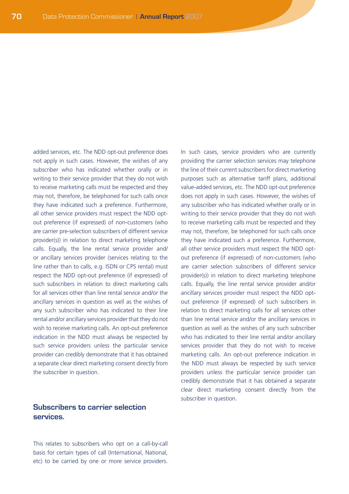added services, etc. The NDD opt-out preference does not apply in such cases. However, the wishes of any subscriber who has indicated whether orally or in writing to their service provider that they do not wish to receive marketing calls must be respected and they may not, therefore, be telephoned for such calls once they have indicated such a preference. Furthermore, all other service providers must respect the NDD optout preference (if expressed) of non-customers (who are carrier pre-selection subscribers of different service provider(s)) in relation to direct marketing telephone calls. Equally, the line rental service provider and/ or ancillary services provider (services relating to the line rather than to calls, e.g. ISDN or CPS rental) must respect the NDD opt-out preference (if expressed) of such subscribers in relation to direct marketing calls for all services other than line rental service and/or the ancillary services in question as well as the wishes of any such subscriber who has indicated to their line rental and/or ancillary services provider that they do not wish to receive marketing calls. An opt-out preference indication in the NDD must always be respected by such service providers unless the particular service provider can credibly demonstrate that it has obtained a separate clear direct marketing consent directly from the subscriber in question.

## **Subscribers to carrier selection services.**

This relates to subscribers who opt on a call-by-call basis for certain types of call (International, National, etc) to be carried by one or more service providers.

In such cases, service providers who are currently providing the carrier selection services may telephone the line of their current subscribers for direct marketing purposes such as alternative tariff plans, additional value-added services, etc. The NDD opt-out preference does not apply in such cases. However, the wishes of any subscriber who has indicated whether orally or in writing to their service provider that they do not wish to receive marketing calls must be respected and they may not, therefore, be telephoned for such calls once they have indicated such a preference. Furthermore, all other service providers must respect the NDD optout preference (if expressed) of non-customers (who are carrier selection subscribers of different service provider(s)) in relation to direct marketing telephone calls. Equally, the line rental service provider and/or ancillary services provider must respect the NDD optout preference (if expressed) of such subscribers in relation to direct marketing calls for all services other than line rental service and/or the ancillary services in question as well as the wishes of any such subscriber who has indicated to their line rental and/or ancillary services provider that they do not wish to receive marketing calls. An opt-out preference indication in the NDD must always be respected by such service providers unless the particular service provider can credibly demonstrate that it has obtained a separate clear direct marketing consent directly from the subscriber in question.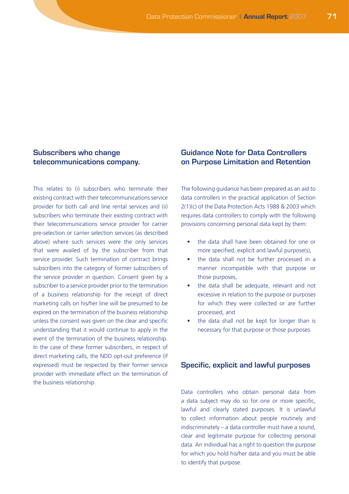## **Subscribers who change telecommunications company.**

This relates to (i) subscribers who terminate their existing contract with their telecommunications service provider for both call and line rental services and (ii) subscribers who terminate their existing contract with their telecommunications service provider for carrier pre-selection or carrier selection services (as described above) where such services were the only services that were availed of by the subscriber from that service provider. Such termination of contract brings subscribers into the category of former subscribers of the service provider in question. Consent given by a subscriber to a service provider prior to the termination of a business relationship for the receipt of direct marketing calls on his/her line will be presumed to be expired on the termination of the business relationship unless the consent was given on the clear and specific understanding that it would continue to apply in the event of the termination of the business relationship. In the case of these former subscribers, in respect of direct marketing calls, the NDD opt-out preference (if expressed) must be respected by their former service provider with immediate effect on the termination of the business relationship.

# **Guidance Note for Data Controllers on Purpose Limitation and Retention**

The following guidance has been prepared as an aid to data controllers in the practical application of Section 2(1)(c) of the Data Protection Acts 1988 & 2003 which requires data controllers to comply with the following provisions concerning personal data kept by them:

- the data shall have been obtained for one or more specified, explicit and lawful purpose(s),
- the data shall not be further processed in a manner incompatible with that purpose or those purposes,
- the data shall be adequate, relevant and not excessive in relation to the purpose or purposes for which they were collected or are further processed, and
- the data shall not be kept for longer than is necessary for that purpose or those purposes.

#### **Specific, explicit and lawful purposes**

Data controllers who obtain personal data from a data subject may do so for one or more specific, lawful and clearly stated purposes. It is unlawful to collect information about people routinely and indiscriminately – a data controller must have a sound, clear and legitimate purpose for collecting personal data. An individual has a right to question the purpose for which you hold his/her data and you must be able to identify that purpose.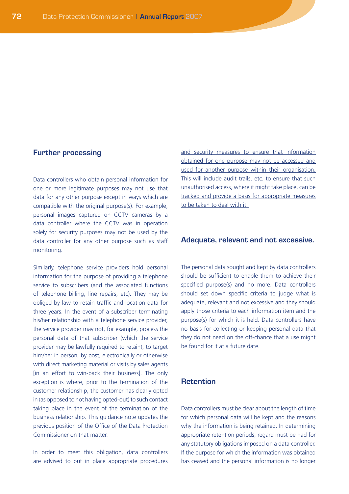#### **Further processing**

Data controllers who obtain personal information for one or more legitimate purposes may not use that data for any other purpose except in ways which are compatible with the original purpose(s). For example, personal images captured on CCTV cameras by a data controller where the CCTV was in operation solely for security purposes may not be used by the data controller for any other purpose such as staff monitoring.

Similarly, telephone service providers hold personal information for the purpose of providing a telephone service to subscribers (and the associated functions of telephone billing, line repairs, etc). They may be obliged by law to retain traffic and location data for three years. In the event of a subscriber terminating his/her relationship with a telephone service provider, the service provider may not, for example, process the personal data of that subscriber (which the service provider may be lawfully required to retain), to target him/her in person, by post, electronically or otherwise with direct marketing material or visits by sales agents [in an effort to win-back their business]. The only exception is where, prior to the termination of the customer relationship, the customer has clearly opted in (as opposed to not having opted-out) to such contact taking place in the event of the termination of the business relationship. This guidance note updates the previous position of the Office of the Data Protection Commissioner on that matter.

In order to meet this obligation, data controllers are advised to put in place appropriate procedures and security measures to ensure that information obtained for one purpose may not be accessed and used for another purpose within their organisation. This will include audit trails, etc. to ensure that such unauthorised access, where it might take place, can be tracked and provide a basis for appropriate measures to be taken to deal with it.

#### **Adequate, relevant and not excessive.**

The personal data sought and kept by data controllers should be sufficient to enable them to achieve their specified purpose(s) and no more. Data controllers should set down specific criteria to judge what is adequate, relevant and not excessive and they should apply those criteria to each information item and the purpose(s) for which it is held. Data controllers have no basis for collecting or keeping personal data that they do not need on the off-chance that a use might be found for it at a future date.

#### **Retention**

Data controllers must be clear about the length of time for which personal data will be kept and the reasons why the information is being retained. In determining appropriate retention periods, regard must be had for any statutory obligations imposed on a data controller. If the purpose for which the information was obtained has ceased and the personal information is no longer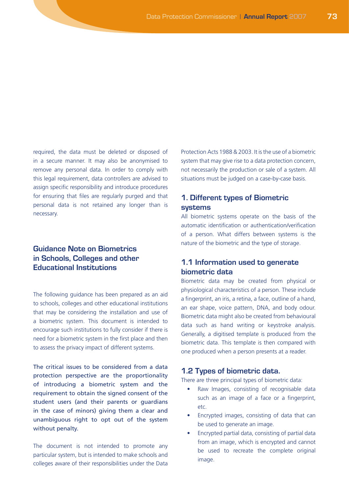required, the data must be deleted or disposed of in a secure manner. It may also be anonymised to remove any personal data. In order to comply with this legal requirement, data controllers are advised to assign specific responsibility and introduce procedures for ensuring that files are regularly purged and that personal data is not retained any longer than is necessary.

# **Guidance Note on Biometrics in Schools, Colleges and other Educational Institutions**

The following guidance has been prepared as an aid to schools, colleges and other educational institutions that may be considering the installation and use of a biometric system. This document is intended to encourage such institutions to fully consider if there is need for a biometric system in the first place and then to assess the privacy impact of different systems.

The critical issues to be considered from a data protection perspective are the proportionality of introducing a biometric system and the requirement to obtain the signed consent of the student users (and their parents or guardians in the case of minors) giving them a clear and unambiguous right to opt out of the system without penalty.

The document is not intended to promote any particular system, but is intended to make schools and colleges aware of their responsibilities under the Data

Protection Acts 1988 & 2003. It is the use of a biometric system that may give rise to a data protection concern, not necessarily the production or sale of a system. All situations must be judged on a case-by-case basis.

# **1. Different types of Biometric systems**

All biometric systems operate on the basis of the automatic identification or authentication/verification of a person. What differs between systems is the nature of the biometric and the type of storage.

# **1.1 Information used to generate biometric data**

Biometric data may be created from physical or physiological characteristics of a person. These include a fingerprint, an iris, a retina, a face, outline of a hand, an ear shape, voice pattern, DNA, and body odour. Biometric data might also be created from behavioural data such as hand writing or keystroke analysis. Generally, a digitised template is produced from the biometric data. This template is then compared with one produced when a person presents at a reader.

### **1.2 Types of biometric data.**

There are three principal types of biometric data:

- Raw Images, consisting of recognisable data such as an image of a face or a fingerprint, etc.
- • Encrypted images, consisting of data that can be used to generate an image.
- Encrypted partial data, consisting of partial data from an image, which is encrypted and cannot be used to recreate the complete original image.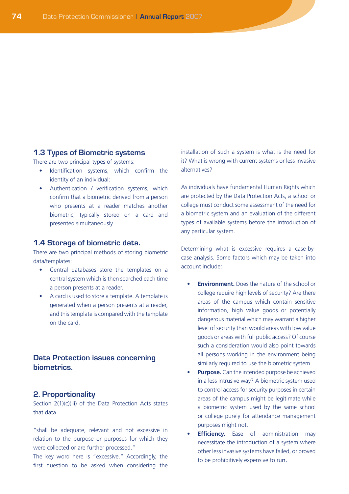### **1.3 Types of Biometric systems**

There are two principal types of systems:

- Identification systems, which confirm the identity of an individual;
- • Authentication / verification systems, which confirm that a biometric derived from a person who presents at a reader matches another biometric, typically stored on a card and presented simultaneously.

### **1.4 Storage of biometric data.**

There are two principal methods of storing biometric data/templates:

- • Central databases store the templates on a central system which is then searched each time a person presents at a reader.
- A card is used to store a template. A template is generated when a person presents at a reader, and this template is compared with the template on the card.

# **Data Protection issues concerning biometrics.**

### **2. Proportionality**

Section 2(1)(c)(iii) of the Data Protection Acts states that data

"shall be adequate, relevant and not excessive in relation to the purpose or purposes for which they were collected or are further processed."

The key word here is "excessive." Accordingly, the first question to be asked when considering the installation of such a system is what is the need for it? What is wrong with current systems or less invasive alternatives?

As individuals have fundamental Human Rights which are protected by the Data Protection Acts, a school or college must conduct some assessment of the need for a biometric system and an evaluation of the different types of available systems before the introduction of any particular system.

Determining what is excessive requires a case-bycase analysis. Some factors which may be taken into account include:

- **Environment.** Does the nature of the school or college require high levels of security? Are there areas of the campus which contain sensitive information, high value goods or potentially dangerous material which may warrant a higher level of security than would areas with low value goods or areas with full public access? Of course such a consideration would also point towards all persons working in the environment being similarly required to use the biometric system.
- **Purpose.** Can the intended purpose be achieved in a less intrusive way? A biometric system used to control access for security purposes in certain areas of the campus might be legitimate while a biometric system used by the same school or college purely for attendance management purposes might not.
- **Efficiency.** Ease of administration may necessitate the introduction of a system where other less invasive systems have failed, or proved to be prohibitively expensive to run.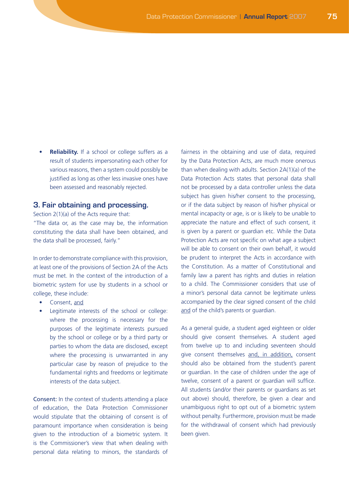**• Reliability.** If a school or college suffers as a result of students impersonating each other for various reasons, then a system could possibly be justified as long as other less invasive ones have been assessed and reasonably rejected.

### **3. Fair obtaining and processing.**

Section 2(1)(a) of the Acts require that: "The data or, as the case may be, the information constituting the data shall have been obtained, and the data shall be processed, fairly."

In order to demonstrate compliance with this provision, at least one of the provisions of Section 2A of the Acts must be met. In the context of the introduction of a biometric system for use by students in a school or college, these include:

- Consent, and
- Legitimate interests of the school or college: where the processing is necessary for the purposes of the legitimate interests pursued by the school or college or by a third party or parties to whom the data are disclosed, except where the processing is unwarranted in any particular case by reason of prejudice to the fundamental rights and freedoms or legitimate interests of the data subject.

Consent: In the context of students attending a place of education, the Data Protection Commissioner would stipulate that the obtaining of consent is of paramount importance when consideration is being given to the introduction of a biometric system. It is the Commissioner's view that when dealing with personal data relating to minors, the standards of fairness in the obtaining and use of data, required by the Data Protection Acts, are much more onerous than when dealing with adults. Section 2A(1)(a) of the Data Protection Acts states that personal data shall not be processed by a data controller unless the data subject has given his/her consent to the processing, or if the data subject by reason of his/her physical or mental incapacity or age, is or is likely to be unable to appreciate the nature and effect of such consent, it is given by a parent or guardian etc. While the Data Protection Acts are not specific on what age a subject will be able to consent on their own behalf, it would be prudent to interpret the Acts in accordance with the Constitution. As a matter of Constitutional and family law a parent has rights and duties in relation to a child. The Commissioner considers that use of a minor's personal data cannot be legitimate unless accompanied by the clear signed consent of the child and of the child's parents or guardian.

As a general guide, a student aged eighteen or older should give consent themselves. A student aged from twelve up to and including seventeen should give consent themselves and, in addition, consent should also be obtained from the student's parent or guardian. In the case of children under the age of twelve, consent of a parent or guardian will suffice. All students (and/or their parents or guardians as set out above) should, therefore, be given a clear and unambiguous right to opt out of a biometric system without penalty. Furthermore, provision must be made for the withdrawal of consent which had previously been given.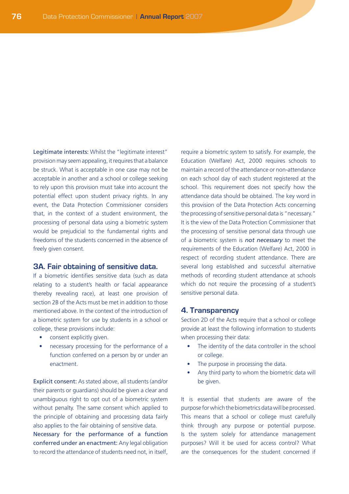Legitimate interests: Whilst the "legitimate interest" provision may seem appealing, it requires that a balance be struck. What is acceptable in one case may not be acceptable in another and a school or college seeking to rely upon this provision must take into account the potential effect upon student privacy rights. In any event, the Data Protection Commissioner considers that, in the context of a student environment, the processing of personal data using a biometric system would be prejudicial to the fundamental rights and freedoms of the students concerned in the absence of freely given consent.

### **3A. Fair obtaining of sensitive data.**

If a biometric identifies sensitive data (such as data relating to a student's health or facial appearance thereby revealing race), at least one provision of section 2B of the Acts must be met in addition to those mentioned above. In the context of the introduction of a biometric system for use by students in a school or college, these provisions include:

- consent explicitly given.
- necessary processing for the performance of a function conferred on a person by or under an enactment.

Explicit consent: As stated above, all students (and/or their parents or guardians) should be given a clear and unambiguous right to opt out of a biometric system without penalty. The same consent which applied to the principle of obtaining and processing data fairly also applies to the fair obtaining of sensitive data. Necessary for the performance of a function conferred under an enactment: Any legal obligation to record the attendance of students need not, in itself,

require a biometric system to satisfy. For example, the Education (Welfare) Act, 2000 requires schools to maintain a record of the attendance or non-attendance on each school day of each student registered at the school. This requirement does not specify how the attendance data should be obtained. The key word in this provision of the Data Protection Acts concerning the processing of sensitive personal data is "necessary." It is the view of the Data Protection Commissioner that the processing of sensitive personal data through use of a biometric system is *not necessary* to meet the requirements of the Education (Welfare) Act, 2000 in respect of recording student attendance. There are several long established and successful alternative methods of recording student attendance at schools which do not require the processing of a student's sensitive personal data.

### **4. Transparency**

Section 2D of the Acts require that a school or college provide at least the following information to students when processing their data:

- The identity of the data controller in the school or college.
- The purpose in processing the data.
- Any third party to whom the biometric data will be given.

It is essential that students are aware of the purpose for which the biometrics data will be processed. This means that a school or college must carefully think through any purpose or potential purpose. Is the system solely for attendance management purposes? Will it be used for access control? What are the consequences for the student concerned if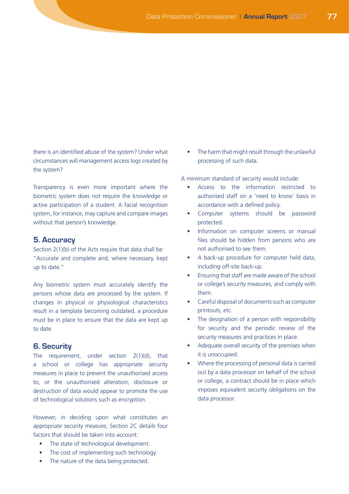there is an identified abuse of the system? Under what circumstances will management access logs created by the system?

Transparency is even more important where the biometric system does not require the knowledge or active participation of a student. A facial recognition system, for instance, may capture and compare images without that person's knowledge.

## **5. Accuracy**

Section 2(1)(b) of the Acts require that data shall be: "Accurate and complete and, where necessary, kept up to date."

Any biometric system must accurately identify the persons whose data are processed by the system. If changes in physical or physiological characteristics result in a template becoming outdated, a procedure must be in place to ensure that the data are kept up to date.

### **6. Security**

The requirement, under section 2(1)(d), that a school or college has appropriate security measures in place to prevent the unauthorised access to, or the unauthorised alteration, disclosure or destruction of data would appear to promote the use of technological solutions such as encryption.

However, in deciding upon what constitutes an appropriate security measure, Section 2C details four factors that should be taken into account:

- The state of technological development.
- The cost of implementing such technology.
- The nature of the data being protected.

The harm that might result through the unlawful processing of such data.

A minimum standard of security would include:

- • Access to the information restricted to authorised staff on a 'need to know' basis in accordance with a defined policy.
- • Computer systems should be password protected.
- Information on computer screens or manual files should be hidden from persons who are not authorised to see them.
- A back-up procedure for computer held data, including off-site back-up.
- **Ensuring that staff are made aware of the school** or college's security measures, and comply with them.
- Careful disposal of documents such as computer printouts, etc.
- The designation of a person with responsibility for security and the periodic review of the security measures and practices in place.
- Adequate overall security of the premises when it is unoccupied.
- Where the processing of personal data is carried out by a data processor on behalf of the school or college, a contract should be in place which imposes equivalent security obligations on the data processor.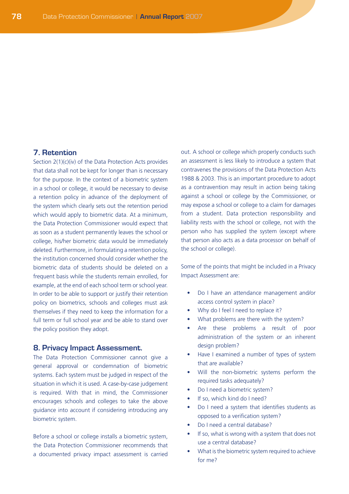# **7. Retention**

Section 2(1)(c)(iv) of the Data Protection Acts provides that data shall not be kept for longer than is necessary for the purpose. In the context of a biometric system in a school or college, it would be necessary to devise a retention policy in advance of the deployment of the system which clearly sets out the retention period which would apply to biometric data. At a minimum, the Data Protection Commissioner would expect that as soon as a student permanently leaves the school or college, his/her biometric data would be immediately deleted. Furthermore, in formulating a retention policy, the institution concerned should consider whether the biometric data of students should be deleted on a frequent basis while the students remain enrolled, for example, at the end of each school term or school year. In order to be able to support or justify their retention policy on biometrics, schools and colleges must ask themselves if they need to keep the information for a full term or full school year and be able to stand over the policy position they adopt.

#### **8. Privacy Impact Assessment.**

The Data Protection Commissioner cannot give a general approval or condemnation of biometric systems. Each system must be judged in respect of the situation in which it is used. A case-by-case judgement is required. With that in mind, the Commissioner encourages schools and colleges to take the above guidance into account if considering introducing any biometric system.

Before a school or college installs a biometric system, the Data Protection Commissioner recommends that a documented privacy impact assessment is carried out. A school or college which properly conducts such an assessment is less likely to introduce a system that contravenes the provisions of the Data Protection Acts 1988 & 2003. This is an important procedure to adopt as a contravention may result in action being taking against a school or college by the Commissioner, or may expose a school or college to a claim for damages from a student. Data protection responsibility and liability rests with the school or college, not with the person who has supplied the system (except where that person also acts as a data processor on behalf of the school or college).

Some of the points that might be included in a Privacy Impact Assessment are:

- Do I have an attendance management and/or access control system in place?
- Why do I feel I need to replace it?
- What problems are there with the system?
- Are these problems a result of poor administration of the system or an inherent design problem?
- Have I examined a number of types of system that are available?
- Will the non-biometric systems perform the required tasks adequately?
- Do I need a biometric system?
- If so, which kind do I need?
- Do I need a system that identifies students as opposed to a verification system?
- Do I need a central database?
- If so, what is wrong with a system that does not use a central database?
- What is the biometric system required to achieve for me?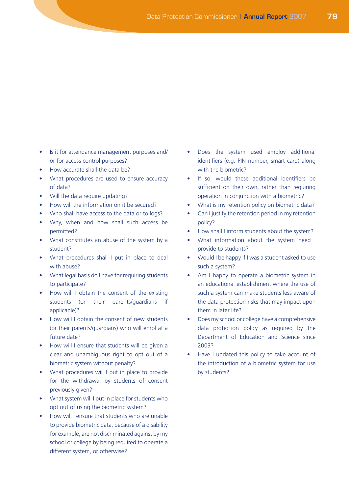## • Is it for attendance management purposes and/ or for access control purposes?

- How accurate shall the data be?
- What procedures are used to ensure accuracy of data?
- • Will the data require updating?
- How will the information on it be secured?
- Who shall have access to the data or to logs?
- Why, when and how shall such access be permitted?
- What constitutes an abuse of the system by a student?
- What procedures shall I put in place to deal with abuse?
- What legal basis do I have for requiring students to participate?
- How will I obtain the consent of the existing students (or their parents/guardians if applicable)?
- How will I obtain the consent of new students (or their parents/guardians) who will enrol at a future date?
- How will I ensure that students will be given a clear and unambiguous right to opt out of a biometric system without penalty?
- What procedures will I put in place to provide for the withdrawal by students of consent previously given?
- What system will I put in place for students who opt out of using the biometric system?
- How will I ensure that students who are unable to provide biometric data, because of a disability for example, are not discriminated against by my school or college by being required to operate a different system, or otherwise?
- Does the system used employ additional identifiers (e.g. PIN number, smart card) along with the biometric?
- If so, would these additional identifiers be sufficient on their own, rather than requiring operation in conjunction with a biometric?
- What is my retention policy on biometric data?
- Can I justify the retention period in my retention policy?
- How shall I inform students about the system?
- What information about the system need I provide to students?
- Would I be happy if I was a student asked to use such a system?
- Am I happy to operate a biometric system in an educational establishment where the use of such a system can make students less aware of the data protection risks that may impact upon them in later life?
- Does my school or college have a comprehensive data protection policy as required by the Department of Education and Science since 2003?
- Have I updated this policy to take account of the introduction of a biometric system for use by students?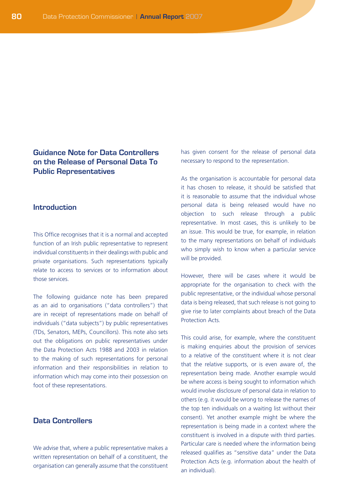# **Guidance Note for Data Controllers on the Release of Personal Data To Public Representatives**

## **Introduction**

This Office recognises that it is a normal and accepted function of an Irish public representative to represent individual constituents in their dealings with public and private organisations. Such representations typically relate to access to services or to information about those services.

The following guidance note has been prepared as an aid to organisations ("data controllers") that are in receipt of representations made on behalf of individuals ("data subjects") by public representatives (TDs, Senators, MEPs, Councillors). This note also sets out the obligations on public representatives under the Data Protection Acts 1988 and 2003 in relation to the making of such representations for personal information and their responsibilities in relation to information which may come into their possession on foot of these representations.

## **Data Controllers**

We advise that, where a public representative makes a written representation on behalf of a constituent, the organisation can generally assume that the constituent has given consent for the release of personal data necessary to respond to the representation.

As the organisation is accountable for personal data it has chosen to release, it should be satisfied that it is reasonable to assume that the individual whose personal data is being released would have no objection to such release through a public representative. In most cases, this is unlikely to be an issue. This would be true, for example, in relation to the many representations on behalf of individuals who simply wish to know when a particular service will be provided.

However, there will be cases where it would be appropriate for the organisation to check with the public representative, or the individual whose personal data is being released, that such release is not going to give rise to later complaints about breach of the Data Protection Acts.

This could arise, for example, where the constituent is making enquiries about the provision of services to a relative of the constituent where it is not clear that the relative supports, or is even aware of, the representation being made. Another example would be where access is being sought to information which would involve disclosure of personal data in relation to others (e.g. it would be wrong to release the names of the top ten individuals on a waiting list without their consent). Yet another example might be where the representation is being made in a context where the constituent is involved in a dispute with third parties. Particular care is needed where the information being released qualifies as "sensitive data" under the Data Protection Acts (e.g. information about the health of an individual).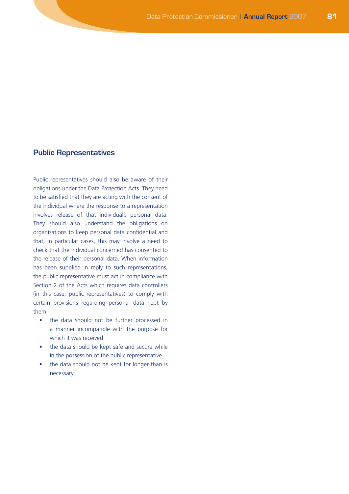### **Public Representatives**

Public representatives should also be aware of their obligations under the Data Protection Acts. They need to be satisfied that they are acting with the consent of the individual where the response to a representation involves release of that individual's personal data. They should also understand the obligations on organisations to keep personal data confidential and that, in particular cases, this may involve a need to check that the individual concerned has consented to the release of their personal data. When information has been supplied in reply to such representations, the public representative must act in compliance with Section 2 of the Acts which requires data controllers (in this case, public representatives) to comply with certain provisions regarding personal data kept by them:

- the data should not be further processed in a manner incompatible with the purpose for which it was received
- the data should be kept safe and secure while in the possession of the public representative
- the data should not be kept for longer than is necessary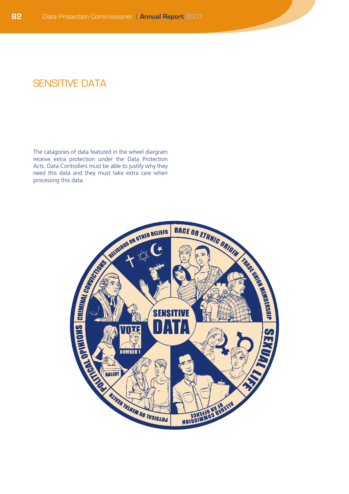# **SENSITIVE DATA**

The catagories of data featured in the wheel diargram receive extra protection under the Data Protection Acts. Data Controllers must be able to justify why they need this data and they must take extra care when processing this data.

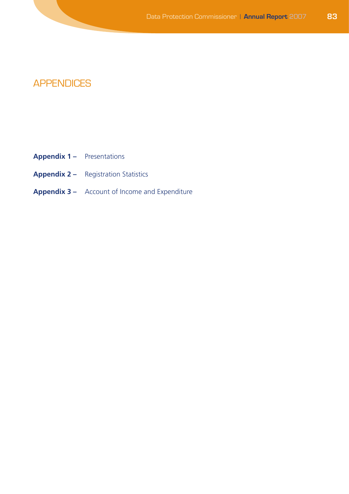# APPENDICES

- **Appendix 1 –** Presentations
- **Appendix 2** Registration Statistics
- **Appendix 3 –** Account of Income and Expenditure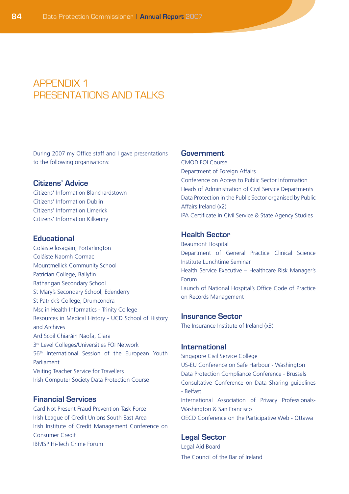# **APPENDIX 1** PRESENTATIONS AND TALKS

During 2007 my Office staff and I gave presentations to the following organisations:

## **Citizens' Advice**

Citizens' Information Blanchardstown Citizens' Information Dublin Citizens' Information Limerick Citizens' Information Kilkenny

### **Educational**

Coláiste Íosagáin, Portarlington Coláiste Naomh Cormac Mountmellick Community School Patrician College, Ballyfin Rathangan Secondary School St Mary's Secondary School, Edenderry St Patrick's College, Drumcondra Msc in Health Informatics - Trinity College Resources in Medical History - UCD School of History and Archives Ard Scoil Chiaráin Naofa, Clara 3<sup>rd</sup> Level Colleges/Universities FOI Network 56th International Session of the European Youth Parliament Visiting Teacher Service for Travellers Irish Computer Society Data Protection Course

## **Financial Services**

Card Not Present Fraud Prevention Task Force Irish League of Credit Unions South East Area Irish Institute of Credit Management Conference on Consumer Credit IBF/ISP Hi-Tech Crime Forum

### **Government**

CMOD FOI Course Department of Foreign Affairs Conference on Access to Public Sector Information Heads of Administration of Civil Service Departments Data Protection in the Public Sector organised by Public Affairs Ireland (x2) IPA Certificate in Civil Service & State Agency Studies

## **Health Sector**

Beaumont Hospital Department of General Practice Clinical Science Institute Lunchtime Seminar Health Service Executive – Healthcare Risk Manager's Forum Launch of National Hospital's Office Code of Practice on Records Management

#### **Insurance Sector**

The Insurance Institute of Ireland (x3)

### **International**

Singapore Civil Service College US-EU Conference on Safe Harbour - Washington Data Protection Compliance Conference - Brussels Consultative Conference on Data Sharing guidelines - Belfast International Association of Privacy Professionals-Washington & San Francisco OECD Conference on the Participative Web - Ottawa

#### **Legal Sector**

Legal Aid Board The Council of the Bar of Ireland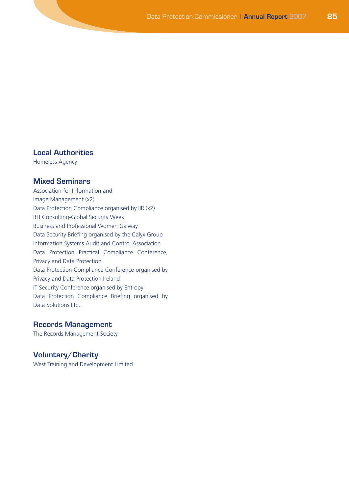# **Local Authorities**

Homeless Agency

## **Mixed Seminars**

Association for Information and Image Management (x2) Data Protection Compliance organised by IIR (x2) BH Consulting-Global Security Week Business and Professional Women Galway Data Security Briefing organised by the Calyx Group Information Systems Audit and Control Association Data Protection Practical Compliance Conference, Privacy and Data Protection Data Protection Compliance Conference organised by Privacy and Data Protection Ireland IT Security Conference organised by Entropy Data Protection Compliance Briefing organised by Data Solutions Ltd.

## **Records Management**

The Records Management Society

## **Voluntary/Charity**

West Training and Development Limited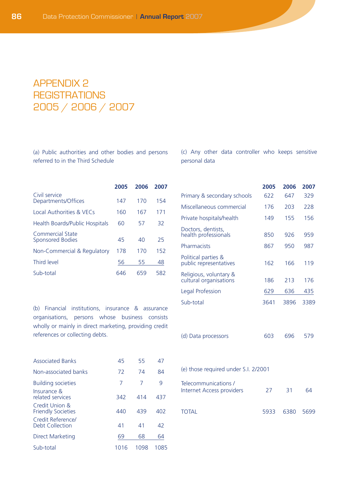# Appendix 2 **REGISTRATIONS** 2005 / 2006 / 2007

(a) Public authorities and other bodies and persons referred to in the Third Schedule

(c) Any other data controller who keeps sensitive personal data

**2005 2006 2007**

|                                             | 2005 | 2006 | 2007 |
|---------------------------------------------|------|------|------|
| Civil service<br>Departments/Offices        | 147  | 170  | 154  |
| Local Authorities & VECs                    | 160  | 167  | 171  |
| Health Boards/Public Hospitals              | 60   | 57   | 32   |
| Commercial State<br><b>Sponsored Bodies</b> | 45   | 40   | 25   |
| Non-Commercial & Regulatory                 | 178  | 170  | 152  |
| Third level                                 | 56   | 55   | 48   |
| Sub-total                                   | 646  | 659  | 582  |

(b) Financial institutions, insurance & assurance organisations, persons whose business consists wholly or mainly in direct marketing, providing credit references or collecting debts.

| Primary & secondary schools                      | 622  | 647  | 329  |
|--------------------------------------------------|------|------|------|
| Miscellaneous commercial                         | 176  | 203  | 228  |
| Private hospitals/health                         | 149  | 155  | 156  |
| Doctors, dentists,<br>health professionals       | 850  | 926  | 959  |
| Pharmacists                                      | 867  | 950  | 987  |
| Political parties &<br>public representatives    | 162  | 166  | 119  |
| Religious, voluntary &<br>cultural organisations | 186  | 213  | 176  |
| Legal Profession                                 | 629  | 636  | 435  |
| Sub-total                                        | 3641 | 3896 | 3389 |
| (d) Data processors                              | 603  | 696  | 579  |
| (e) those required under S.I. 2/2001             |      |      |      |

| <b>Associated Banks</b>                     | 45   | 55   | 47   |
|---------------------------------------------|------|------|------|
| Non-associated banks                        | 72   | 74   | 84   |
| <b>Building societies</b>                   | 7    | 7    | 9    |
| Insurance &<br>related services             | 342  | 414  | 437  |
| Credit Union &<br><b>Friendly Societies</b> | 440  | 439  | 402  |
| Credit Reference/<br>Debt Collection        | 41   | 41   | 42   |
| <b>Direct Marketing</b>                     | 69   | 68   | 64   |
| Sub-total                                   | 1016 | 1098 | 1085 |

| Telecommunications /<br>Internet Access providers | 27 31          | 64 |
|---------------------------------------------------|----------------|----|
| <b>TOTAL</b>                                      | 5933 6380 5699 |    |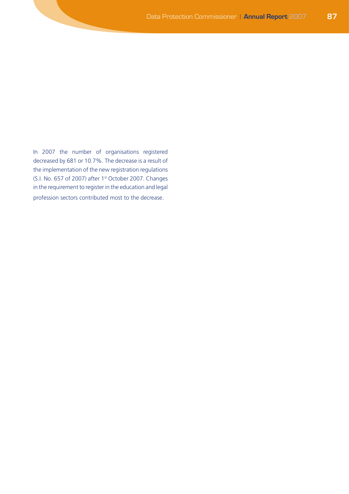In 2007 the number of organisations registered decreased by 681 or 10.7%. The decrease is a result of the implementation of the new registration regulations (S.I. No. 657 of 2007) after 1st October 2007. Changes in the requirement to register in the education and legal profession sectors contributed most to the decrease.